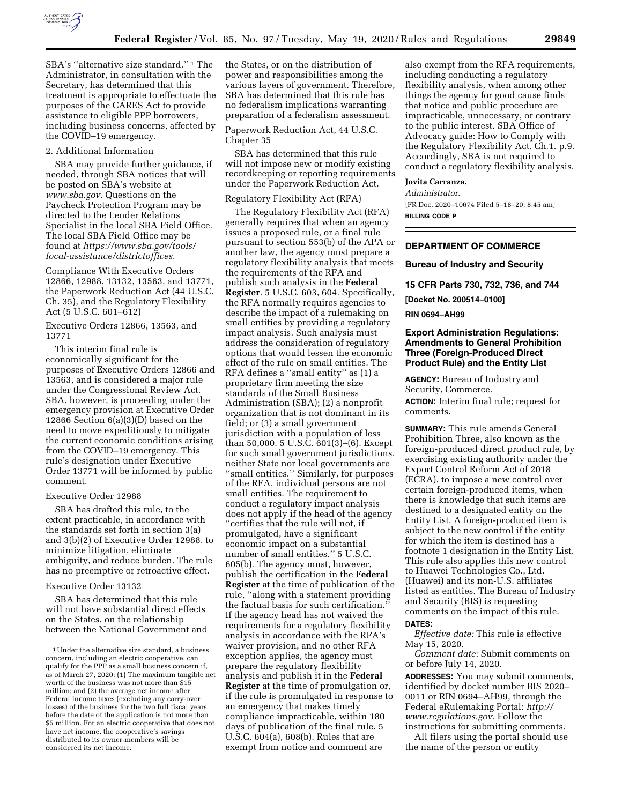

SBA's ''alternative size standard.'' 1 The Administrator, in consultation with the Secretary, has determined that this treatment is appropriate to effectuate the purposes of the CARES Act to provide assistance to eligible PPP borrowers, including business concerns, affected by the COVID–19 emergency.

## 2. Additional Information

SBA may provide further guidance, if needed, through SBA notices that will be posted on SBA's website at *[www.sba.gov.](http://www.sba.gov)* Questions on the Paycheck Protection Program may be directed to the Lender Relations Specialist in the local SBA Field Office. The local SBA Field Office may be found at *[https://www.sba.gov/tools/](https://www.sba.gov/tools/local-assistance/districtoffices)  [local-assistance/districtoffices.](https://www.sba.gov/tools/local-assistance/districtoffices)* 

Compliance With Executive Orders 12866, 12988, 13132, 13563, and 13771, the Paperwork Reduction Act (44 U.S.C. Ch. 35), and the Regulatory Flexibility Act (5 U.S.C. 601–612)

Executive Orders 12866, 13563, and 13771

This interim final rule is economically significant for the purposes of Executive Orders 12866 and 13563, and is considered a major rule under the Congressional Review Act. SBA, however, is proceeding under the emergency provision at Executive Order 12866 Section 6(a)(3)(D) based on the need to move expeditiously to mitigate the current economic conditions arising from the COVID–19 emergency. This rule's designation under Executive Order 13771 will be informed by public comment.

## Executive Order 12988

SBA has drafted this rule, to the extent practicable, in accordance with the standards set forth in section 3(a) and 3(b)(2) of Executive Order 12988, to minimize litigation, eliminate ambiguity, and reduce burden. The rule has no preemptive or retroactive effect.

## Executive Order 13132

SBA has determined that this rule will not have substantial direct effects on the States, on the relationship between the National Government and

the States, or on the distribution of power and responsibilities among the various layers of government. Therefore, SBA has determined that this rule has no federalism implications warranting preparation of a federalism assessment.

Paperwork Reduction Act, 44 U.S.C. Chapter 35

SBA has determined that this rule will not impose new or modify existing recordkeeping or reporting requirements under the Paperwork Reduction Act.

## Regulatory Flexibility Act (RFA)

The Regulatory Flexibility Act (RFA) generally requires that when an agency issues a proposed rule, or a final rule pursuant to section 553(b) of the APA or another law, the agency must prepare a regulatory flexibility analysis that meets the requirements of the RFA and publish such analysis in the **Federal Register**. 5 U.S.C. 603, 604. Specifically, the RFA normally requires agencies to describe the impact of a rulemaking on small entities by providing a regulatory impact analysis. Such analysis must address the consideration of regulatory options that would lessen the economic effect of the rule on small entities. The RFA defines a ''small entity'' as (1) a proprietary firm meeting the size standards of the Small Business Administration (SBA); (2) a nonprofit organization that is not dominant in its field; or (3) a small government jurisdiction with a population of less than 50,000. 5 U.S.C. 601(3)–(6). Except for such small government jurisdictions, neither State nor local governments are ''small entities.'' Similarly, for purposes of the RFA, individual persons are not small entities. The requirement to conduct a regulatory impact analysis does not apply if the head of the agency ''certifies that the rule will not, if promulgated, have a significant economic impact on a substantial number of small entities.'' 5 U.S.C. 605(b). The agency must, however, publish the certification in the **Federal Register** at the time of publication of the rule, ''along with a statement providing the factual basis for such certification.'' If the agency head has not waived the requirements for a regulatory flexibility analysis in accordance with the RFA's waiver provision, and no other RFA exception applies, the agency must prepare the regulatory flexibility analysis and publish it in the **Federal Register** at the time of promulgation or, if the rule is promulgated in response to an emergency that makes timely compliance impracticable, within 180 days of publication of the final rule. 5 U.S.C. 604(a), 608(b). Rules that are exempt from notice and comment are

also exempt from the RFA requirements, including conducting a regulatory flexibility analysis, when among other things the agency for good cause finds that notice and public procedure are impracticable, unnecessary, or contrary to the public interest. SBA Office of Advocacy guide: How to Comply with the Regulatory Flexibility Act, Ch.1. p.9. Accordingly, SBA is not required to conduct a regulatory flexibility analysis.

## **Jovita Carranza,**

*Administrator.* 

[FR Doc. 2020–10674 Filed 5–18–20; 8:45 am] **BILLING CODE P** 

# **DEPARTMENT OF COMMERCE**

# **Bureau of Industry and Security**

**15 CFR Parts 730, 732, 736, and 744** 

**[Docket No. 200514–0100]** 

#### **RIN 0694–AH99**

# **Export Administration Regulations: Amendments to General Prohibition Three (Foreign-Produced Direct Product Rule) and the Entity List**

**AGENCY:** Bureau of Industry and Security, Commerce.

**ACTION:** Interim final rule; request for comments.

**SUMMARY:** This rule amends General Prohibition Three, also known as the foreign-produced direct product rule, by exercising existing authority under the Export Control Reform Act of 2018 (ECRA), to impose a new control over certain foreign-produced items, when there is knowledge that such items are destined to a designated entity on the Entity List. A foreign-produced item is subject to the new control if the entity for which the item is destined has a footnote 1 designation in the Entity List. This rule also applies this new control to Huawei Technologies Co., Ltd. (Huawei) and its non-U.S. affiliates listed as entities. The Bureau of Industry and Security (BIS) is requesting comments on the impact of this rule. **DATES:** 

*Effective date:* This rule is effective May 15, 2020.

*Comment date:* Submit comments on or before July 14, 2020.

**ADDRESSES:** You may submit comments, identified by docket number BIS 2020– 0011 or RIN 0694–AH99, through the Federal eRulemaking Portal: *[http://](http://www.regulations.gov) [www.regulations.gov.](http://www.regulations.gov)* Follow the instructions for submitting comments.

All filers using the portal should use the name of the person or entity

<sup>1</sup>Under the alternative size standard, a business concern, including an electric cooperative, can qualify for the PPP as a small business concern if, as of March 27, 2020: (1) The maximum tangible net worth of the business was not more than \$15 million; and (2) the average net income after Federal income taxes (excluding any carry-over losses) of the business for the two full fiscal years before the date of the application is not more than \$5 million. For an electric cooperative that does not have net income, the cooperative's savings distributed to its owner-members will be considered its net income.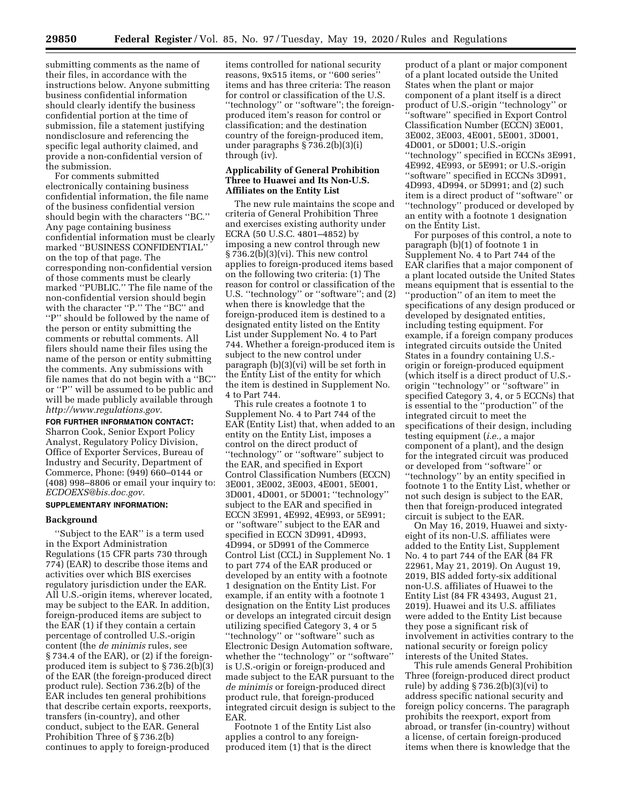submitting comments as the name of their files, in accordance with the instructions below. Anyone submitting business confidential information should clearly identify the business confidential portion at the time of submission, file a statement justifying nondisclosure and referencing the specific legal authority claimed, and provide a non-confidential version of the submission.

For comments submitted electronically containing business confidential information, the file name of the business confidential version should begin with the characters ''BC.'' Any page containing business confidential information must be clearly marked ''BUSINESS CONFIDENTIAL'' on the top of that page. The corresponding non-confidential version of those comments must be clearly marked ''PUBLIC.'' The file name of the non-confidential version should begin with the character ''P.'' The ''BC'' and "P" should be followed by the name of the person or entity submitting the comments or rebuttal comments. All filers should name their files using the name of the person or entity submitting the comments. Any submissions with file names that do not begin with a ''BC'' or ''P'' will be assumed to be public and will be made publicly available through *<http://www.regulations.gov>*.

**FOR FURTHER INFORMATION CONTACT:** 

Sharron Cook, Senior Export Policy Analyst, Regulatory Policy Division, Office of Exporter Services, Bureau of Industry and Security, Department of Commerce, Phone: (949) 660–0144 or (408) 998–8806 or email your inquiry to: *[ECDOEXS@bis.doc.gov.](mailto:ECDOEXS@bis.doc.gov)* 

#### **SUPPLEMENTARY INFORMATION:**

# **Background**

''Subject to the EAR'' is a term used in the Export Administration Regulations (15 CFR parts 730 through 774) (EAR) to describe those items and activities over which BIS exercises regulatory jurisdiction under the EAR. All U.S.-origin items, wherever located, may be subject to the EAR. In addition, foreign-produced items are subject to the EAR (1) if they contain a certain percentage of controlled U.S.-origin content (the *de minimis* rules, see § 734.4 of the EAR), or (2) if the foreignproduced item is subject to § 736.2(b)(3) of the EAR (the foreign-produced direct product rule). Section 736.2(b) of the EAR includes ten general prohibitions that describe certain exports, reexports, transfers (in-country), and other conduct, subject to the EAR. General Prohibition Three of § 736.2(b) continues to apply to foreign-produced

items controlled for national security reasons, 9x515 items, or ''600 series'' items and has three criteria: The reason for control or classification of the U.S. ''technology'' or ''software''; the foreignproduced item's reason for control or classification; and the destination country of the foreign-produced item, under paragraphs § 736.2(b)(3)(i) through (iv).

### **Applicability of General Prohibition Three to Huawei and Its Non-U.S. Affiliates on the Entity List**

The new rule maintains the scope and criteria of General Prohibition Three and exercises existing authority under ECRA (50 U.S.C. 4801–4852) by imposing a new control through new § 736.2(b)(3)(vi). This new control applies to foreign-produced items based on the following two criteria: (1) The reason for control or classification of the U.S. "technology" or "software"; and  $(2)$ when there is knowledge that the foreign-produced item is destined to a designated entity listed on the Entity List under Supplement No. 4 to Part 744. Whether a foreign-produced item is subject to the new control under paragraph (b)(3)(vi) will be set forth in the Entity List of the entity for which the item is destined in Supplement No. 4 to Part 744.

This rule creates a footnote 1 to Supplement No. 4 to Part 744 of the EAR (Entity List) that, when added to an entity on the Entity List, imposes a control on the direct product of ''technology'' or ''software'' subject to the EAR, and specified in Export Control Classification Numbers (ECCN) 3E001, 3E002, 3E003, 4E001, 5E001, 3D001, 4D001, or 5D001; ''technology'' subject to the EAR and specified in ECCN 3E991, 4E992, 4E993, or 5E991; or ''software'' subject to the EAR and specified in ECCN 3D991, 4D993, 4D994, or 5D991 of the Commerce Control List (CCL) in Supplement No. 1 to part 774 of the EAR produced or developed by an entity with a footnote 1 designation on the Entity List. For example, if an entity with a footnote 1 designation on the Entity List produces or develops an integrated circuit design utilizing specified Category 3, 4 or 5 ''technology'' or ''software'' such as Electronic Design Automation software, whether the ''technology'' or ''software'' is U.S.-origin or foreign-produced and made subject to the EAR pursuant to the *de minimis* or foreign-produced direct product rule, that foreign-produced integrated circuit design is subject to the EAR.

Footnote 1 of the Entity List also applies a control to any foreignproduced item (1) that is the direct

product of a plant or major component of a plant located outside the United States when the plant or major component of a plant itself is a direct product of U.S.-origin ''technology'' or ''software'' specified in Export Control Classification Number (ECCN) 3E001, 3E002, 3E003, 4E001, 5E001, 3D001, 4D001, or 5D001; U.S.-origin ''technology'' specified in ECCNs 3E991, 4E992, 4E993, or 5E991; or U.S.-origin ''software'' specified in ECCNs 3D991, 4D993, 4D994, or 5D991; and (2) such item is a direct product of ''software'' or ''technology'' produced or developed by an entity with a footnote 1 designation on the Entity List.

For purposes of this control, a note to paragraph (b)(1) of footnote 1 in Supplement No. 4 to Part 744 of the EAR clarifies that a major component of a plant located outside the United States means equipment that is essential to the ''production'' of an item to meet the specifications of any design produced or developed by designated entities, including testing equipment. For example, if a foreign company produces integrated circuits outside the United States in a foundry containing U.S. origin or foreign-produced equipment (which itself is a direct product of U.S. origin ''technology'' or ''software'' in specified Category 3, 4, or 5 ECCNs) that is essential to the ''production'' of the integrated circuit to meet the specifications of their design, including testing equipment (*i.e.,* a major component of a plant), and the design for the integrated circuit was produced or developed from ''software'' or ''technology'' by an entity specified in footnote 1 to the Entity List, whether or not such design is subject to the EAR, then that foreign-produced integrated circuit is subject to the EAR.

On May 16, 2019, Huawei and sixtyeight of its non-U.S. affiliates were added to the Entity List, Supplement No. 4 to part 744 of the EAR (84 FR 22961, May 21, 2019). On August 19, 2019, BIS added forty-six additional non-U.S. affiliates of Huawei to the Entity List (84 FR 43493, August 21, 2019). Huawei and its U.S. affiliates were added to the Entity List because they pose a significant risk of involvement in activities contrary to the national security or foreign policy interests of the United States.

This rule amends General Prohibition Three (foreign-produced direct product rule) by adding § 736.2(b)(3)(vi) to address specific national security and foreign policy concerns. The paragraph prohibits the reexport, export from abroad, or transfer (in-country) without a license, of certain foreign-produced items when there is knowledge that the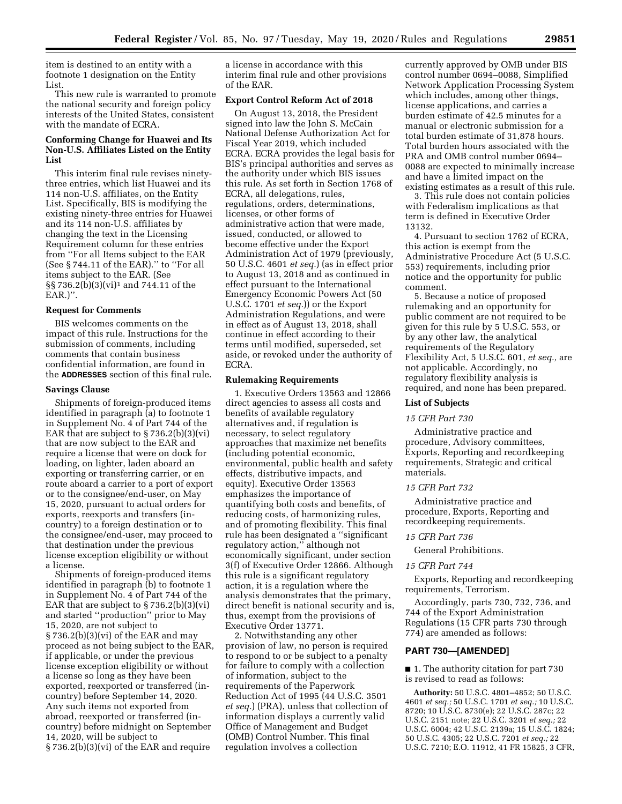item is destined to an entity with a footnote 1 designation on the Entity List.

This new rule is warranted to promote the national security and foreign policy interests of the United States, consistent with the mandate of ECRA.

# **Conforming Change for Huawei and Its Non-U.S. Affiliates Listed on the Entity List**

This interim final rule revises ninetythree entries, which list Huawei and its 114 non-U.S. affiliates, on the Entity List. Specifically, BIS is modifying the existing ninety-three entries for Huawei and its 114 non-U.S. affiliates by changing the text in the Licensing Requirement column for these entries from ''For all Items subject to the EAR (See § 744.11 of the EAR).'' to ''For all items subject to the EAR. (See §§ 736.2(b)(3)(vi)1 and 744.11 of the EAR.)''.

#### **Request for Comments**

BIS welcomes comments on the impact of this rule. Instructions for the submission of comments, including comments that contain business confidential information, are found in the **ADDRESSES** section of this final rule.

### **Savings Clause**

Shipments of foreign-produced items identified in paragraph (a) to footnote 1 in Supplement No. 4 of Part 744 of the EAR that are subject to  $\S 736.2(b)(3)(vi)$ that are now subject to the EAR and require a license that were on dock for loading, on lighter, laden aboard an exporting or transferring carrier, or en route aboard a carrier to a port of export or to the consignee/end-user, on May 15, 2020, pursuant to actual orders for exports, reexports and transfers (incountry) to a foreign destination or to the consignee/end-user, may proceed to that destination under the previous license exception eligibility or without a license.

Shipments of foreign-produced items identified in paragraph (b) to footnote 1 in Supplement No. 4 of Part 744 of the EAR that are subject to  $\S 736.2(b)(3)(vi)$ and started ''production'' prior to May 15, 2020, are not subject to § 736.2(b)(3)(vi) of the EAR and may proceed as not being subject to the EAR, if applicable, or under the previous license exception eligibility or without a license so long as they have been exported, reexported or transferred (incountry) before September 14, 2020. Any such items not exported from abroad, reexported or transferred (incountry) before midnight on September 14, 2020, will be subject to § 736.2(b)(3)(vi) of the EAR and require

a license in accordance with this interim final rule and other provisions of the EAR.

#### **Export Control Reform Act of 2018**

On August 13, 2018, the President signed into law the John S. McCain National Defense Authorization Act for Fiscal Year 2019, which included ECRA. ECRA provides the legal basis for BIS's principal authorities and serves as the authority under which BIS issues this rule. As set forth in Section 1768 of ECRA, all delegations, rules, regulations, orders, determinations, licenses, or other forms of administrative action that were made, issued, conducted, or allowed to become effective under the Export Administration Act of 1979 (previously, 50 U.S.C. 4601 *et seq.*) (as in effect prior to August 13, 2018 and as continued in effect pursuant to the International Emergency Economic Powers Act (50 U.S.C. 1701 *et seq.*)) or the Export Administration Regulations, and were in effect as of August 13, 2018, shall continue in effect according to their terms until modified, superseded, set aside, or revoked under the authority of ECRA.

## **Rulemaking Requirements**

1. Executive Orders 13563 and 12866 direct agencies to assess all costs and benefits of available regulatory alternatives and, if regulation is necessary, to select regulatory approaches that maximize net benefits (including potential economic, environmental, public health and safety effects, distributive impacts, and equity). Executive Order 13563 emphasizes the importance of quantifying both costs and benefits, of reducing costs, of harmonizing rules, and of promoting flexibility. This final rule has been designated a ''significant regulatory action,'' although not economically significant, under section 3(f) of Executive Order 12866. Although this rule is a significant regulatory action, it is a regulation where the analysis demonstrates that the primary, direct benefit is national security and is, thus, exempt from the provisions of Executive Order 13771.

2. Notwithstanding any other provision of law, no person is required to respond to or be subject to a penalty for failure to comply with a collection of information, subject to the requirements of the Paperwork Reduction Act of 1995 (44 U.S.C. 3501 *et seq.*) (PRA), unless that collection of information displays a currently valid Office of Management and Budget (OMB) Control Number. This final regulation involves a collection

currently approved by OMB under BIS control number 0694–0088, Simplified Network Application Processing System which includes, among other things, license applications, and carries a burden estimate of 42.5 minutes for a manual or electronic submission for a total burden estimate of 31,878 hours. Total burden hours associated with the PRA and OMB control number 0694– 0088 are expected to minimally increase and have a limited impact on the existing estimates as a result of this rule.

3. This rule does not contain policies with Federalism implications as that term is defined in Executive Order 13132.

4. Pursuant to section 1762 of ECRA, this action is exempt from the Administrative Procedure Act (5 U.S.C. 553) requirements, including prior notice and the opportunity for public comment.

5. Because a notice of proposed rulemaking and an opportunity for public comment are not required to be given for this rule by 5 U.S.C. 553, or by any other law, the analytical requirements of the Regulatory Flexibility Act, 5 U.S.C. 601, *et seq.,* are not applicable. Accordingly, no regulatory flexibility analysis is required, and none has been prepared.

#### **List of Subjects**

#### *15 CFR Part 730*

Administrative practice and procedure, Advisory committees, Exports, Reporting and recordkeeping requirements, Strategic and critical materials.

#### *15 CFR Part 732*

Administrative practice and procedure, Exports, Reporting and recordkeeping requirements.

## *15 CFR Part 736*

General Prohibitions.

#### *15 CFR Part 744*

Exports, Reporting and recordkeeping requirements, Terrorism.

Accordingly, parts 730, 732, 736, and 744 of the Export Administration Regulations (15 CFR parts 730 through 774) are amended as follows:

## **PART 730—[AMENDED]**

■ 1. The authority citation for part 730 is revised to read as follows:

**Authority:** 50 U.S.C. 4801–4852; 50 U.S.C. 4601 *et seq.;* 50 U.S.C. 1701 *et seq.;* 10 U.S.C. 8720; 10 U.S.C. 8730(e); 22 U.S.C. 287c; 22 U.S.C. 2151 note; 22 U.S.C. 3201 *et seq.;* 22 U.S.C. 6004; 42 U.S.C. 2139a; 15 U.S.C. 1824; 50 U.S.C. 4305; 22 U.S.C. 7201 *et seq.;* 22 U.S.C. 7210; E.O. 11912, 41 FR 15825, 3 CFR,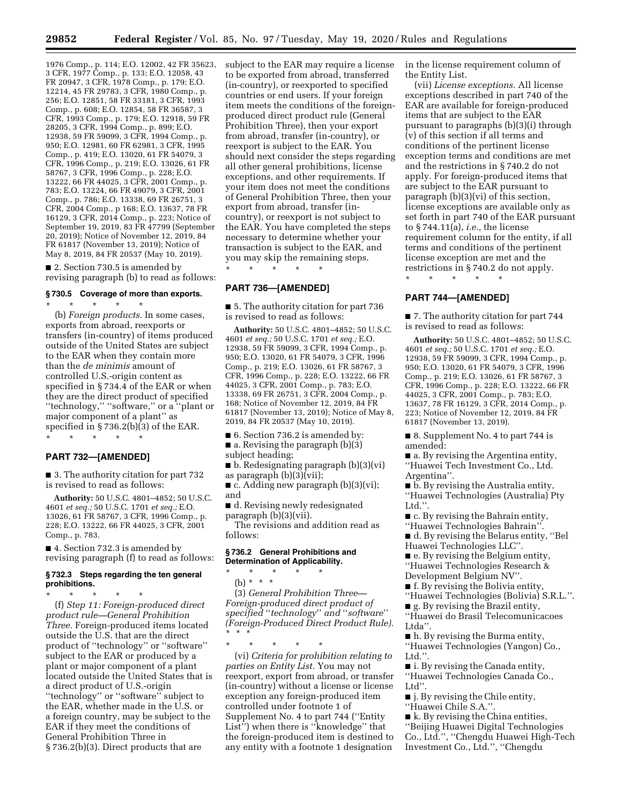1976 Comp., p. 114; E.O. 12002, 42 FR 35623, 3 CFR, 1977 Comp., p. 133; E.O. 12058, 43 FR 20947, 3 CFR, 1978 Comp., p. 179; E.O. 12214, 45 FR 29783, 3 CFR, 1980 Comp., p. 256; E.O. 12851, 58 FR 33181, 3 CFR, 1993 Comp., p. 608; E.O. 12854, 58 FR 36587, 3 CFR, 1993 Comp., p. 179; E.O. 12918, 59 FR 28205, 3 CFR, 1994 Comp., p. 899; E.O. 12938, 59 FR 59099, 3 CFR, 1994 Comp., p. 950; E.O. 12981, 60 FR 62981, 3 CFR, 1995 Comp., p. 419; E.O. 13020, 61 FR 54079, 3 CFR, 1996 Comp., p. 219; E.O. 13026, 61 FR 58767, 3 CFR, 1996 Comp., p. 228; E.O. 13222, 66 FR 44025, 3 CFR, 2001 Comp., p. 783; E.O. 13224, 66 FR 49079, 3 CFR, 2001 Comp., p. 786; E.O. 13338, 69 FR 26751, 3 CFR, 2004 Comp., p 168; E.O. 13637, 78 FR 16129, 3 CFR, 2014 Comp., p. 223; Notice of September 19, 2019, 83 FR 47799 (September 20, 2019); Notice of November 12, 2019, 84 FR 61817 (November 13, 2019); Notice of May 8, 2019, 84 FR 20537 (May 10, 2019).

■ 2. Section 730.5 is amended by revising paragraph (b) to read as follows:

# **§ 730.5 Coverage of more than exports.**

\* \* \* \* \*

(b) *Foreign products.* In some cases, exports from abroad, reexports or transfers (in-country) of items produced outside of the United States are subject to the EAR when they contain more than the *de minimis* amount of controlled U.S.-origin content as specified in § 734.4 of the EAR or when they are the direct product of specified ''technology,'' ''software,'' or a ''plant or major component of a plant'' as specified in § 736.2(b)(3) of the EAR. \* \* \* \* \*

### **PART 732—[AMENDED]**

■ 3. The authority citation for part 732 is revised to read as follows:

**Authority:** 50 U.S.C. 4801–4852; 50 U.S.C. 4601 *et seq.;* 50 U.S.C. 1701 *et seq.;* E.O. 13026, 61 FR 58767, 3 CFR, 1996 Comp., p. 228; E.O. 13222, 66 FR 44025, 3 CFR, 2001 Comp., p. 783.

■ 4. Section 732.3 is amended by revising paragraph (f) to read as follows:

#### **§ 732.3 Steps regarding the ten general prohibitions.**

\* \* \* \* \* (f) *Step 11: Foreign-produced direct product rule—General Prohibition Three.* Foreign-produced items located outside the U.S. that are the direct product of ''technology'' or ''software'' subject to the EAR or produced by a plant or major component of a plant located outside the United States that is a direct product of U.S.-origin ''technology'' or ''software'' subject to the EAR, whether made in the U.S. or a foreign country, may be subject to the EAR if they meet the conditions of General Prohibition Three in § 736.2(b)(3). Direct products that are

subject to the EAR may require a license to be exported from abroad, transferred (in-country), or reexported to specified countries or end users. If your foreign item meets the conditions of the foreignproduced direct product rule (General Prohibition Three), then your export from abroad, transfer (in-country), or reexport is subject to the EAR. You should next consider the steps regarding all other general prohibitions, license exceptions, and other requirements. If your item does not meet the conditions of General Prohibition Three, then your export from abroad, transfer (incountry), or reexport is not subject to the EAR. You have completed the steps necessary to determine whether your transaction is subject to the EAR, and you may skip the remaining steps. \* \* \* \* \*

### **PART 736—[AMENDED]**

■ 5. The authority citation for part 736 is revised to read as follows:

**Authority:** 50 U.S.C. 4801–4852; 50 U.S.C. 4601 *et seq.;* 50 U.S.C. 1701 *et seq.;* E.O. 12938, 59 FR 59099, 3 CFR, 1994 Comp., p. 950; E.O. 13020, 61 FR 54079, 3 CFR, 1996 Comp., p. 219; E.O. 13026, 61 FR 58767, 3 CFR, 1996 Comp., p. 228; E.O. 13222, 66 FR 44025, 3 CFR, 2001 Comp., p. 783; E.O. 13338, 69 FR 26751, 3 CFR, 2004 Comp., p. 168; Notice of November 12, 2019, 84 FR 61817 (November 13, 2019); Notice of May 8, 2019, 84 FR 20537 (May 10, 2019).

- 6. Section 736.2 is amended by:
- a. Revising the paragraph (b)(3)
- subject heading;

■ b. Redesignating paragraph (b)(3)(vi) as paragraph (b)(3)(vii);

 $\blacksquare$  c. Adding new paragraph (b)(3)(vi); and

■ d. Revising newly redesignated paragraph (b)(3)(vii).

The revisions and addition read as follows:

## **§ 736.2 General Prohibitions and Determination of Applicability.**

\* \* \* \* \* (b) \* \* \*

(3) *General Prohibition Three— Foreign-produced direct product of specified* ''*technology*'' *and* ''*software*'' *(Foreign-Produced Direct Product Rule).*  \* \* \*

\* \* \* \* \*

(vi) *Criteria for prohibition relating to parties on Entity List.* You may not reexport, export from abroad, or transfer (in-country) without a license or license exception any foreign-produced item controlled under footnote 1 of Supplement No. 4 to part 744 (''Entity List") when there is "knowledge" that the foreign-produced item is destined to any entity with a footnote 1 designation

in the license requirement column of the Entity List.

(vii) *License exceptions.* All license exceptions described in part 740 of the EAR are available for foreign-produced items that are subject to the EAR pursuant to paragraphs (b)(3)(i) through (v) of this section if all terms and conditions of the pertinent license exception terms and conditions are met and the restrictions in § 740.2 do not apply. For foreign-produced items that are subject to the EAR pursuant to paragraph (b)(3)(vi) of this section, license exceptions are available only as set forth in part 740 of the EAR pursuant to § 744.11(a), *i.e.,* the license requirement column for the entity, if all terms and conditions of the pertinent license exception are met and the restrictions in § 740.2 do not apply.

\* \* \* \* \*

# **PART 744—[AMENDED]**

■ 7. The authority citation for part 744 is revised to read as follows:

**Authority:** 50 U.S.C. 4801–4852; 50 U.S.C. 4601 *et seq.;* 50 U.S.C. 1701 *et seq.;* E.O. 12938, 59 FR 59099, 3 CFR, 1994 Comp., p. 950; E.O. 13020, 61 FR 54079, 3 CFR, 1996 Comp., p. 219; E.O. 13026, 61 FR 58767, 3 CFR, 1996 Comp., p. 228; E.O. 13222, 66 FR 44025, 3 CFR, 2001 Comp., p. 783; E.O. 13637, 78 FR 16129, 3 CFR, 2014 Comp., p. 223; Notice of November 12, 2019, 84 FR 61817 (November 13, 2019).

■ 8. Supplement No. 4 to part 744 is amended:

■ a. By revising the Argentina entity, ''Huawei Tech Investment Co., Ltd. Argentina''.

■ b. By revising the Australia entity, ''Huawei Technologies (Australia) Pty Ltd.''.

■ c. By revising the Bahrain entity,

''Huawei Technologies Bahrain''. ■ d. By revising the Belarus entity, "Bel Huawei Technologies LLC''.

■ e. By revising the Belgium entity, ''Huawei Technologies Research &

Development Belgium NV''.

■ f. By revising the Bolivia entity,

''Huawei Technologies (Bolivia) S.R.L.''. ■ g. By revising the Brazil entity,

''Huawei do Brasil Telecomunicacoes Ltda''.

■ h. By revising the Burma entity, ''Huawei Technologies (Yangon) Co., Ltd.''.

■ i. By revising the Canada entity,

''Huawei Technologies Canada Co., Ltd''.

■ j. By revising the Chile entity,

''Huawei Chile S.A.''.

 $\blacksquare$  k. By revising the China entities, ''Beijing Huawei Digital Technologies Co., Ltd.'', ''Chengdu Huawei High-Tech Investment Co., Ltd.'', ''Chengdu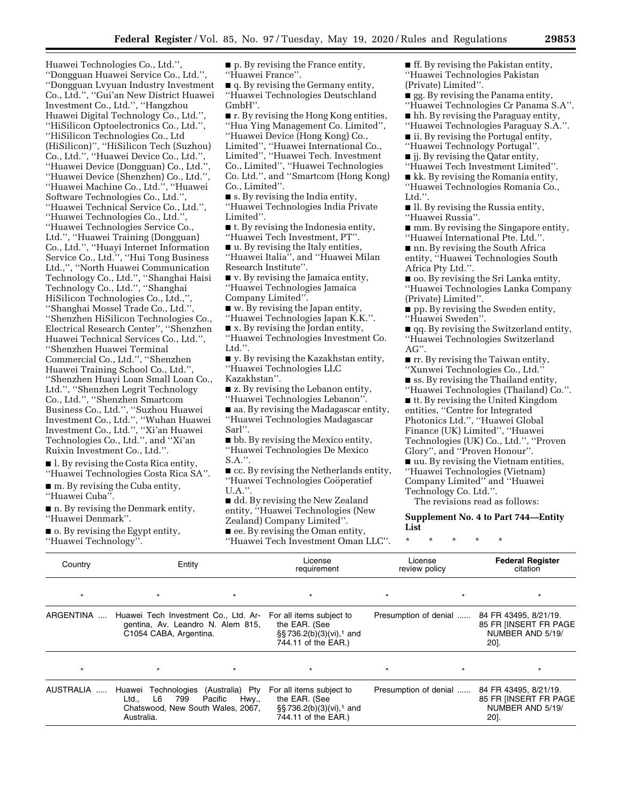Huawei Technologies Co., Ltd.'', ''Dongguan Huawei Service Co., Ltd.'', ''Dongguan Lvyuan Industry Investment Co., Ltd.'', ''Gui'an New District Huawei Investment Co., Ltd.'', ''Hangzhou Huawei Digital Technology Co., Ltd.'', ''HiSilicon Optoelectronics Co., Ltd.'', ''HiSilicon Technologies Co., Ltd (HiSilicon)'', ''HiSilicon Tech (Suzhou) Co., Ltd.'', ''Huawei Device Co., Ltd.'', ''Huawei Device (Dongguan) Co., Ltd.'', ''Huawei Device (Shenzhen) Co., Ltd.'', ''Huawei Machine Co., Ltd.'', ''Huawei Software Technologies Co., Ltd.'', ''Huawei Technical Service Co., Ltd.'', ''Huawei Technologies Co., Ltd.'', ''Huawei Technologies Service Co., Ltd.'', ''Huawei Training (Dongguan) Co., Ltd.'', ''Huayi Internet Information Service Co., Ltd.'', ''Hui Tong Business Ltd.,'', ''North Huawei Communication Technology Co., Ltd.'', ''Shanghai Haisi Technology Co., Ltd.'', ''Shanghai HiSilicon Technologies Co., Ltd.,'', ''Shanghai Mossel Trade Co., Ltd.'', ''Shenzhen HiSilicon Technologies Co., Electrical Research Center'', ''Shenzhen Huawei Technical Services Co., Ltd.'', ''Shenzhen Huawei Terminal Commercial Co., Ltd.'', ''Shenzhen Huawei Training School Co., Ltd.'', ''Shenzhen Huayi Loan Small Loan Co., Ltd.'', ''Shenzhen Legrit Technology Co., Ltd.'', ''Shenzhen Smartcom Business Co., Ltd.'', ''Suzhou Huawei Investment Co., Ltd.'', ''Wuhan Huawei Investment Co., Ltd.'', ''Xi'an Huawei Technologies Co., Ltd.'', and ''Xi'an Ruixin Investment Co., Ltd.''.

■ l. By revising the Costa Rica entity, ''Huawei Technologies Costa Rica SA''.

 $\blacksquare$  m. By revising the Cuba entity, ''Huawei Cuba''.

■ n. By revising the Denmark entity, ''Huawei Denmark''.

■ o. By revising the Egypt entity, ''Huawei Technology''.

 $\blacksquare$  p. By revising the France entity, ''Huawei France''.  $\blacksquare$  q. By revising the Germany entity, ''Huawei Technologies Deutschland GmbH''. ■ r. By revising the Hong Kong entities, ''Hua Ying Management Co. Limited'', ''Huawei Device (Hong Kong) Co., Limited'', ''Huawei International Co., Limited'', ''Huawei Tech. Investment Co., Limited'', ''Huawei Technologies Co. Ltd.'', and ''Smartcom (Hong Kong) Co., Limited''. ■ s. By revising the India entity, ''Huawei Technologies India Private Limited''. ■ t. By revising the Indonesia entity, ''Huawei Tech Investment, PT''. ■ u. By revising the Italy entities, ''Huawei Italia'', and ''Huawei Milan Research Institute''. ■ v. By revising the Jamaica entity, ''Huawei Technologies Jamaica Company Limited''.  $\blacksquare$  w. By revising the Japan entity, ''Huawei Technologies Japan K.K.''. ■ x. By revising the Jordan entity, ''Huawei Technologies Investment Co. Ltd.''.  $\blacksquare$  y. By revising the Kazakhstan entity, ''Huawei Technologies LLC Kazakhstan''. ■ z. By revising the Lebanon entity, ''Huawei Technologies Lebanon''. ■ aa. By revising the Madagascar entity, ''Huawei Technologies Madagascar Sarl''. ■ bb. By revising the Mexico entity, ''Huawei Technologies De Mexico S.A.''. ■ cc. By revising the Netherlands entity, "Huawei Technologies Coöperatief U.A.''. ■ dd. By revising the New Zealand entity, ''Huawei Technologies (New Zealand) Company Limited''.

■ ee. By revising the Oman entity, ''Huawei Tech Investment Oman LLC''.  $\blacksquare$  ff. By revising the Pakistan entity, ''Huawei Technologies Pakistan (Private) Limited''.

■ gg. By revising the Panama entity, ''Huawei Technologies Cr Panama S.A''. ■ hh. By revising the Paraguay entity,

''Huawei Technologies Paraguay S.A.''. ■ ii. By revising the Portugal entity,

''Huawei Technology Portugal''.

■ jj. By revising the Qatar entity,

''Huawei Tech Investment Limited''.

■ kk. By revising the Romania entity, ''Huawei Technologies Romania Co.,

Ltd.''.

■ ll. By revising the Russia entity, ''Huawei Russia''.

■ mm. By revising the Singapore entity, ''Huawei International Pte. Ltd.''.

■ nn. By revising the South Africa entity, ''Huawei Technologies South Africa Pty Ltd.''.

■ oo. By revising the Sri Lanka entity, ''Huawei Technologies Lanka Company (Private) Limited''.

■ pp. By revising the Sweden entity, ''Huawei Sweden''.

■ qq. By revising the Switzerland entity, ''Huawei Technologies Switzerland AG''.

 $\blacksquare$  rr. By revising the Taiwan entity,

''Xunwei Technologies Co., Ltd.''

■ ss. By revising the Thailand entity, ''Huawei Technologies (Thailand) Co.''.

■ tt. By revising the United Kingdom entities, ''Centre for Integrated Photonics Ltd.'', ''Huawei Global Finance (UK) Limited'', ''Huawei Technologies (UK) Co., Ltd.'', ''Proven Glory'', and ''Proven Honour''.

■ uu. By revising the Vietnam entities, ''Huawei Technologies (Vietnam) Company Limited'' and ''Huawei Technology Co. Ltd.''.

The revisions read as follows:

## **Supplement No. 4 to Part 744—Entity List**

\* \* \* \* \*

| Country   | Entity                                                                                              |                                                  | License<br>requirement                                                                                       | License<br>review policy |         | <b>Federal Register</b><br>citation                                        |
|-----------|-----------------------------------------------------------------------------------------------------|--------------------------------------------------|--------------------------------------------------------------------------------------------------------------|--------------------------|---------|----------------------------------------------------------------------------|
| $\star$   |                                                                                                     | $\star$                                          | $\star$                                                                                                      |                          | $\star$ |                                                                            |
| ARGENTINA | Huawei Tech Investment Co., Ltd. Ar-<br>gentina, Av. Leandro N. Alem 815,<br>C1054 CABA, Argentina. |                                                  | For all items subject to<br>the EAR. (See<br>$\S$ \$736.2(b)(3)(vi), <sup>1</sup> and<br>744.11 of the EAR.) | Presumption of denial    |         | 84 FR 43495, 8/21/19.<br>85 FR IINSERT FR PAGE<br>NUMBER AND 5/19/<br>20]. |
| $\star$   |                                                                                                     | $\star$                                          | $\star$                                                                                                      |                          | $\star$ | $\star$                                                                    |
| AUSTRALIA | Huawei<br>799<br>L6<br>Ltd.,<br>Chatswood, New South Wales, 2067,<br>Australia.                     | Technologies (Australia) Pty<br>Pacific<br>Hwy., | For all items subject to<br>the EAR. (See<br>§§736.2(b)(3)(vi), <sup>1</sup> and<br>744.11 of the EAR.)      | Presumption of denial    |         | 84 FR 43495, 8/21/19.<br>85 FR IINSERT FR PAGE<br>NUMBER AND 5/19/<br>20]. |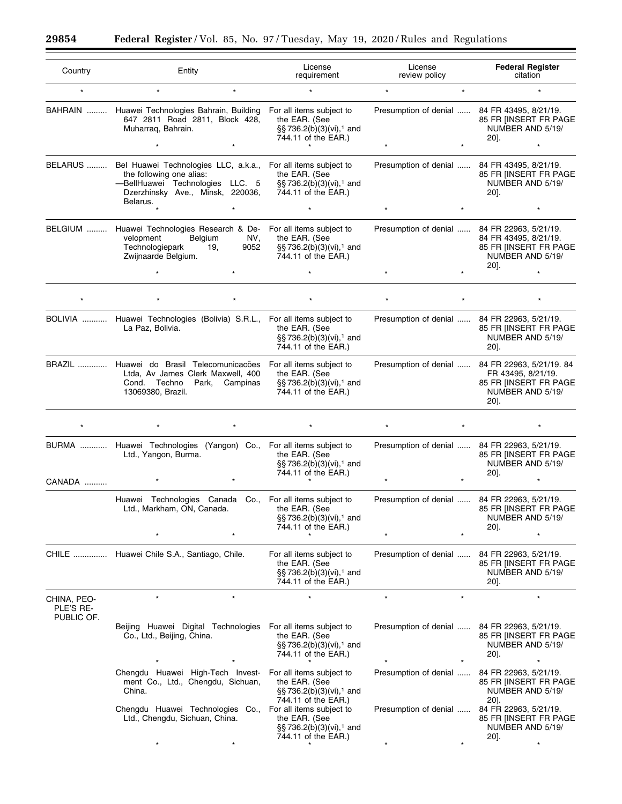▀

| Country                                | Entity                                                                                                                                                                                | License<br>requirement                                                                                   | License<br>review policy                     | <b>Federal Register</b><br>citation                                                                                        |
|----------------------------------------|---------------------------------------------------------------------------------------------------------------------------------------------------------------------------------------|----------------------------------------------------------------------------------------------------------|----------------------------------------------|----------------------------------------------------------------------------------------------------------------------------|
| $\star$                                | $\star$<br>$\star$                                                                                                                                                                    | $\star$                                                                                                  | $\star$<br>$\star$                           | $\star$                                                                                                                    |
|                                        | BAHRAIN  Huawei Technologies Bahrain, Building<br>647 2811 Road 2811, Block 428,<br>Muharraq, Bahrain.                                                                                | For all items subject to<br>the EAR. (See<br>§§736.2(b)(3)(vi), <sup>1</sup> and<br>744.11 of the EAR.)  | Presumption of denial  84 FR 43495, 8/21/19. | 85 FR IINSERT FR PAGE<br>NUMBER AND 5/19/<br>20].                                                                          |
|                                        | BELARUS  Bel Huawei Technologies LLC, a.k.a., For all items subject to<br>the following one alias:<br>-BellHuawei Technologies LLC. 5<br>Dzerzhinsky Ave., Minsk, 220036,<br>Belarus. | the EAR. (See<br>§§736.2(b)(3)(vi), <sup>1</sup> and<br>744.11 of the EAR.)<br>$\star$                   | Presumption of denial  84 FR 43495, 8/21/19. | 85 FR [INSERT FR PAGE<br>NUMBER AND 5/19/<br>$20$ ].                                                                       |
|                                        |                                                                                                                                                                                       |                                                                                                          | $\star$                                      |                                                                                                                            |
|                                        | BELGIUM  Huawei Technologies Research & De-<br>Belgium<br>NV,<br>velopment<br>Technologiepark<br>9052<br>19.<br>Zwijnaarde Belgium.                                                   | For all items subject to<br>the EAR. (See<br>§§736.2(b)(3)(vi), <sup>1</sup> and<br>744.11 of the EAR.)  | Presumption of denial  84 FR 22963, 5/21/19. | 84 FR 43495, 8/21/19.<br>85 FR [INSERT FR PAGE<br>NUMBER AND 5/19/<br>20].                                                 |
|                                        |                                                                                                                                                                                       |                                                                                                          |                                              |                                                                                                                            |
|                                        |                                                                                                                                                                                       |                                                                                                          |                                              |                                                                                                                            |
|                                        | BOLIVIA  Huawei Technologies (Bolivia) S.R.L.,<br>La Paz, Bolivia.                                                                                                                    | For all items subject to<br>the EAR. (See<br>§§736.2(b)(3)(vi), <sup>1</sup> and<br>744.11 of the EAR.)  | Presumption of denial  84 FR 22963, 5/21/19. | 85 FR [INSERT FR PAGE<br>NUMBER AND 5/19/<br>$20$ ].                                                                       |
|                                        | BRAZIL  Huawei do Brasil Telecomunicacões<br>Ltda, Av James Clerk Maxwell, 400<br>Park, Campinas<br>Cond. Techno<br>13069380, Brazil.                                                 | For all items subject to<br>the EAR. (See<br>§§ 736.2(b)(3)(vi), <sup>1</sup> and<br>744.11 of the EAR.) |                                              | Presumption of denial  84 FR 22963, 5/21/19. 84<br>FR 43495, 8/21/19.<br>85 FR [INSERT FR PAGE<br>NUMBER AND 5/19/<br>20]. |
|                                        |                                                                                                                                                                                       |                                                                                                          |                                              |                                                                                                                            |
|                                        | BURMA  Huawei Technologies (Yangon) Co., For all items subject to<br>Ltd., Yangon, Burma.                                                                                             | the EAR. (See<br>§§ 736.2(b)(3)(vi), <sup>1</sup> and<br>744.11 of the EAR.)                             | Presumption of denial  84 FR 22963, 5/21/19. | 85 FR IINSERT FR PAGE<br>NUMBER AND 5/19/<br>20].                                                                          |
| CANADA                                 |                                                                                                                                                                                       |                                                                                                          |                                              |                                                                                                                            |
|                                        | Huawei Technologies Canada Co., For all items subject to<br>Ltd., Markham, ON, Canada.                                                                                                | the EAR. (See<br>§§ 736.2(b)(3)(vi), <sup>1</sup> and<br>744.11 of the EAR.)                             | Presumption of denial  84 FR 22963, 5/21/19. | 85 FR [INSERT FR PAGE<br>NUMBER AND 5/19/<br>20].                                                                          |
|                                        | CHILE  Huawei Chile S.A., Santiago, Chile.                                                                                                                                            | For all items subject to<br>the EAR. (See<br>§§ 736.2(b)(3)(vi), <sup>1</sup> and<br>744.11 of the EAR.) | Presumption of denial                        | 84 FR 22963, 5/21/19.<br>85 FR JINSERT FR PAGE<br>NUMBER AND 5/19/<br>$20$ ].                                              |
| CHINA, PEO-<br>PLE'S RE-<br>PUBLIC OF. | $\star$                                                                                                                                                                               |                                                                                                          | $\star$                                      |                                                                                                                            |
|                                        | Beijing Huawei Digital Technologies For all items subject to<br>Co., Ltd., Beijing, China.                                                                                            | the EAR. (See<br>§§736.2(b)(3)(vi), <sup>1</sup> and<br>744.11 of the EAR.)                              | Presumption of denial                        | 84 FR 22963, 5/21/19.<br>85 FR [INSERT FR PAGE<br>NUMBER AND 5/19/<br>20].                                                 |
|                                        | Chengdu Huawei High-Tech Invest-<br>ment Co., Ltd., Chengdu, Sichuan,<br>China.                                                                                                       | For all items subject to<br>the EAR. (See<br>§§736.2(b)(3)(vi), <sup>1</sup> and<br>744.11 of the EAR.)  | Presumption of denial                        | 84 FR 22963, 5/21/19.<br>85 FR [INSERT FR PAGE<br>NUMBER AND 5/19/<br>20].                                                 |
|                                        | Chengdu Huawei Technologies Co.,<br>Ltd., Chengdu, Sichuan, China.                                                                                                                    | For all items subject to<br>the EAR. (See<br>§§736.2(b)(3)(vi), <sup>1</sup> and<br>744.11 of the EAR.)  | Presumption of denial                        | 84 FR 22963, 5/21/19.<br>85 FR [INSERT FR PAGE<br>NUMBER AND 5/19/<br>$20$ ].                                              |
|                                        |                                                                                                                                                                                       |                                                                                                          |                                              |                                                                                                                            |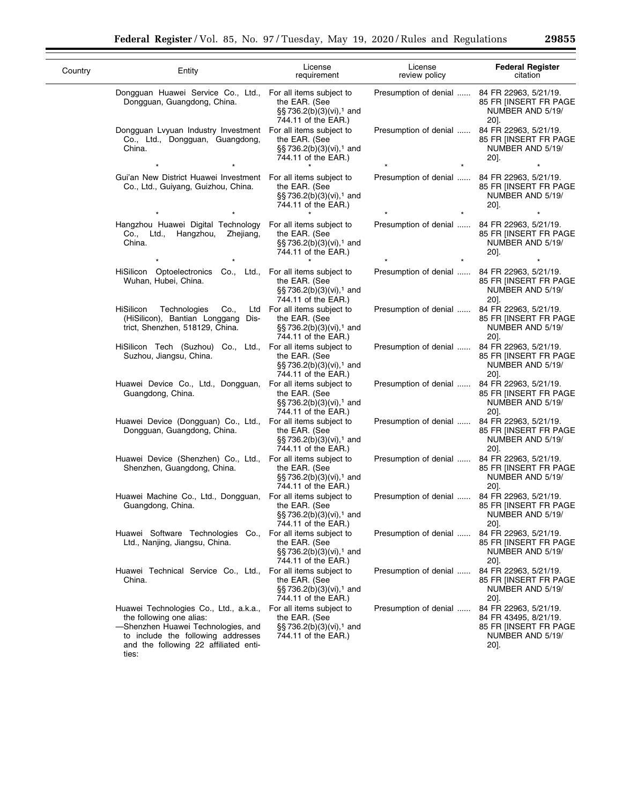| Country | Entity                                                                                                                                                                                           | License<br>requirement                                                                                      | License<br>review policy                     | <b>Federal Register</b><br>citation                                                                 |
|---------|--------------------------------------------------------------------------------------------------------------------------------------------------------------------------------------------------|-------------------------------------------------------------------------------------------------------------|----------------------------------------------|-----------------------------------------------------------------------------------------------------|
|         | Dongguan Huawei Service Co., Ltd., For all items subject to<br>Dongguan, Guangdong, China.                                                                                                       | the EAR. (See<br>§§ 736.2(b)(3)(vi), <sup>1</sup> and<br>744.11 of the EAR.)                                | Presumption of denial  84 FR 22963, 5/21/19. | 85 FR IINSERT FR PAGE<br>NUMBER AND 5/19/<br>$20$ ].                                                |
|         | Dongguan Lyyuan Industry Investment For all items subject to<br>Co., Ltd., Dongguan, Guangdong,<br>China.                                                                                        | the EAR. (See<br>§§736.2(b)(3)(vi), <sup>1</sup> and<br>744.11 of the EAR.)                                 | Presumption of denial                        | 84 FR 22963, 5/21/19.<br>85 FR [INSERT FR PAGE<br>NUMBER AND 5/19/<br>20].                          |
|         | Gui'an New District Huawei Investment For all items subject to<br>Co., Ltd., Guiyang, Guizhou, China.                                                                                            | the EAR. (See<br>§§736.2(b)(3)(vi), <sup>1</sup> and<br>744.11 of the EAR.)                                 | Presumption of denial                        | 84 FR 22963, 5/21/19.<br>85 FR [INSERT FR PAGE<br>NUMBER AND 5/19/<br>$20$ ].                       |
|         | Hangzhou Huawei Digital Technology<br>Co., Ltd., Hangzhou,<br>Zhejiang,<br>China.                                                                                                                | For all items subject to<br>the EAR. (See<br>§§736.2(b)(3)(vi), <sup>1</sup> and<br>744.11 of the EAR.)     | Presumption of denial                        | 84 FR 22963, 5/21/19.<br>85 FR IINSERT FR PAGE<br>NUMBER AND 5/19/<br>20].                          |
|         | HiSilicon Optoelectronics Co., Ltd., For all items subject to<br>Wuhan, Hubei, China.                                                                                                            | the EAR. (See<br>§§736.2(b)(3)(vi), <sup>1</sup> and<br>744.11 of the EAR.)                                 | Presumption of denial  84 FR 22963, 5/21/19. | 85 FR IINSERT FR PAGE<br>NUMBER AND 5/19/<br>20].                                                   |
|         | HiSilicon<br>Technologies<br>Co.,<br>(HiSilicon), Bantian Longgang Dis-<br>trict, Shenzhen, 518129, China.                                                                                       | Ltd For all items subject to<br>the EAR. (See<br>§§736.2(b)(3)(vi), <sup>1</sup> and<br>744.11 of the EAR.) | Presumption of denial                        | 84 FR 22963, 5/21/19.<br>85 FR IINSERT FR PAGE<br>NUMBER AND 5/19/<br>20].                          |
|         | HiSilicon Tech (Suzhou) Co., Ltd.,<br>Suzhou, Jiangsu, China.                                                                                                                                    | For all items subject to<br>the EAR. (See<br>§§736.2(b)(3)(vi), <sup>1</sup> and<br>744.11 of the EAR.)     | Presumption of denial                        | 84 FR 22963, 5/21/19.<br>85 FR IINSERT FR PAGE<br>NUMBER AND 5/19/<br>20].                          |
|         | Huawei Device Co., Ltd., Dongguan,<br>Guangdong, China.                                                                                                                                          | For all items subject to<br>the EAR. (See<br>§§736.2(b)(3)(vi), <sup>1</sup> and<br>744.11 of the EAR.)     | Presumption of denial                        | 84 FR 22963, 5/21/19.<br>85 FR IINSERT FR PAGE<br>NUMBER AND 5/19/<br>20].                          |
|         | Huawei Device (Dongguan) Co., Ltd., For all items subject to<br>Dongguan, Guangdong, China.                                                                                                      | the EAR. (See<br>§§736.2(b)(3)(vi), <sup>1</sup> and<br>744.11 of the EAR.)                                 | Presumption of denial                        | 84 FR 22963, 5/21/19.<br>85 FR IINSERT FR PAGE<br>NUMBER AND 5/19/<br>$20$ ].                       |
|         | Huawei Device (Shenzhen) Co., Ltd.,<br>Shenzhen, Guangdong, China.                                                                                                                               | For all items subject to<br>the EAR. (See<br>§§736.2(b)(3)(vi), <sup>1</sup> and<br>744.11 of the EAR.)     | Presumption of denial                        | 84 FR 22963, 5/21/19.<br>85 FR [INSERT FR PAGE<br>NUMBER AND 5/19/<br>20].                          |
|         | Huawei Machine Co., Ltd., Dongguan,<br>Guangdong, China.                                                                                                                                         | For all items subject to<br>the EAR. (See<br>§§736.2(b)(3)(vi), <sup>1</sup> and<br>744.11 of the EAR.)     | Presumption of denial                        | 84 FR 22963, 5/21/19.<br>85 FR [INSERT FR PAGE<br>NUMBER AND 5/19/<br>20].                          |
|         | Huawei Software Technologies Co.,<br>Ltd., Nanjing, Jiangsu, China.                                                                                                                              | For all items subject to<br>the EAR. (See<br>$\S$ §736.2(b)(3)(vi), <sup>1</sup> and<br>744.11 of the EAR.) | Presumption of denial                        | 84 FR 22963, 5/21/19.<br>85 FR [INSERT FR PAGE<br>NUMBER AND 5/19/<br>$20$ ].                       |
|         | Huawei Technical Service Co., Ltd., For all items subject to<br>China.                                                                                                                           | the EAR. (See<br>$\S$ §736.2(b)(3)(vi), <sup>1</sup> and<br>744.11 of the EAR.)                             | Presumption of denial                        | 84 FR 22963, 5/21/19.<br>85 FR [INSERT FR PAGE<br>NUMBER AND 5/19/<br>$20$ ].                       |
|         | Huawei Technologies Co., Ltd., a.k.a.,<br>the following one alias:<br>-Shenzhen Huawei Technologies, and<br>to include the following addresses<br>and the following 22 affiliated enti-<br>ties: | For all items subject to<br>the EAR. (See<br>§§736.2(b)(3)(vi), <sup>1</sup> and<br>744.11 of the EAR.)     | Presumption of denial                        | 84 FR 22963, 5/21/19.<br>84 FR 43495, 8/21/19.<br>85 FR [INSERT FR PAGE<br>NUMBER AND 5/19/<br>20]. |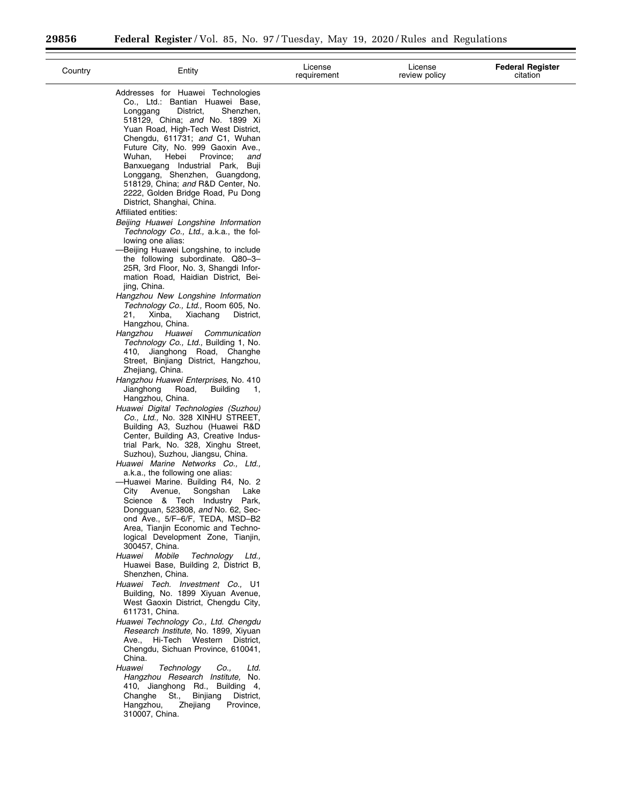| Country | Entity                                                                                                                                                                                                                                                                                                                                                                                                                                                                                                                                                                                                                                                                                                                                                                                                                                                                                                                                                                                                                                                                                                                                                                                                                                                                                                                                                                                                                                                                                                                                                                                                                                                                                                                                                                                                                                                                                                                                                                                                                                                                                                               | License<br>requirement | License<br>review policy | <b>Federal Register</b><br>citation |
|---------|----------------------------------------------------------------------------------------------------------------------------------------------------------------------------------------------------------------------------------------------------------------------------------------------------------------------------------------------------------------------------------------------------------------------------------------------------------------------------------------------------------------------------------------------------------------------------------------------------------------------------------------------------------------------------------------------------------------------------------------------------------------------------------------------------------------------------------------------------------------------------------------------------------------------------------------------------------------------------------------------------------------------------------------------------------------------------------------------------------------------------------------------------------------------------------------------------------------------------------------------------------------------------------------------------------------------------------------------------------------------------------------------------------------------------------------------------------------------------------------------------------------------------------------------------------------------------------------------------------------------------------------------------------------------------------------------------------------------------------------------------------------------------------------------------------------------------------------------------------------------------------------------------------------------------------------------------------------------------------------------------------------------------------------------------------------------------------------------------------------------|------------------------|--------------------------|-------------------------------------|
|         | Addresses for Huawei Technologies<br>Co., Ltd.: Bantian Huawei Base,<br>District,<br>Shenzhen,<br>Longgang<br>518129, China; and No. 1899 Xi<br>Yuan Road, High-Tech West District,<br>Chengdu, 611731; and C1, Wuhan<br>Future City, No. 999 Gaoxin Ave.,<br>Wuhan,<br>Hebei<br>Province;<br>and<br>Banxuegang Industrial Park, Buji<br>Longgang, Shenzhen, Guangdong,<br>518129, China; and R&D Center, No.<br>2222, Golden Bridge Road, Pu Dong<br>District, Shanghai, China.<br>Affiliated entities:<br>Beijing Huawei Longshine Information<br>Technology Co., Ltd., a.k.a., the fol-<br>lowing one alias:<br>-Beijing Huawei Longshine, to include<br>the following subordinate. Q80-3-<br>25R, 3rd Floor, No. 3, Shangdi Infor-<br>mation Road, Haidian District, Bei-<br>jing, China.<br>Hangzhou New Longshine Information<br>Technology Co., Ltd., Room 605, No.<br>Xinba,<br>Xiachang<br>21,<br>District,<br>Hangzhou, China.<br>Hangzhou Huawei<br>Communication<br>Technology Co., Ltd., Building 1, No.<br>410, Jianghong Road, Changhe<br>Street, Binjiang District, Hangzhou,<br>Zhejiang, China.<br>Hangzhou Huawei Enterprises, No. 410<br>Jianghong<br>Road,<br><b>Building</b><br>$\blacksquare$<br>Hangzhou, China.<br>Huawei Digital Technologies (Suzhou)<br>Co., Ltd., No. 328 XINHU STREET,<br>Building A3, Suzhou (Huawei R&D<br>Center, Building A3, Creative Indus-<br>trial Park, No. 328, Xinghu Street,<br>Suzhou), Suzhou, Jiangsu, China.<br>Huawei Marine Networks Co., Ltd.,<br>a.k.a., the following one alias:<br>-Huawei Marine. Building R4, No. 2<br>Songshan<br>City<br>Avenue,<br>Lake<br>Science & Tech Industry<br>Park,<br>Dongguan, 523808, and No. 62, Sec-<br>ond Ave., 5/F-6/F, TEDA, MSD-B2<br>Area, Tianjin Economic and Techno-<br>logical Development Zone, Tianjin,<br>300457, China.<br>Huawei Mobile<br>Technology Ltd.,<br>Huawei Base, Building 2, District B,<br>Shenzhen, China.<br>Huawei Tech. Investment Co., U1<br>Building, No. 1899 Xiyuan Avenue,<br>West Gaoxin District, Chengdu City,<br>611731, China.<br>Huawei Technology Co., Ltd. Chengdu |                        |                          |                                     |
|         | Research Institute, No. 1899, Xiyuan<br>Ave., Hi-Tech Western District,<br>Chengdu, Sichuan Province, 610041,<br>China.                                                                                                                                                                                                                                                                                                                                                                                                                                                                                                                                                                                                                                                                                                                                                                                                                                                                                                                                                                                                                                                                                                                                                                                                                                                                                                                                                                                                                                                                                                                                                                                                                                                                                                                                                                                                                                                                                                                                                                                              |                        |                          |                                     |
|         | Huawei<br>Technology<br>Co.,<br>Ltd.<br>Hangzhou Research Institute, No.<br>410, Jianghong Rd., Building 4,<br>Binjiang<br>Changhe St.,<br>District,<br>Hangzhou,<br>Zhejiang<br>Province,<br>310007, China.                                                                                                                                                                                                                                                                                                                                                                                                                                                                                                                                                                                                                                                                                                                                                                                                                                                                                                                                                                                                                                                                                                                                                                                                                                                                                                                                                                                                                                                                                                                                                                                                                                                                                                                                                                                                                                                                                                         |                        |                          |                                     |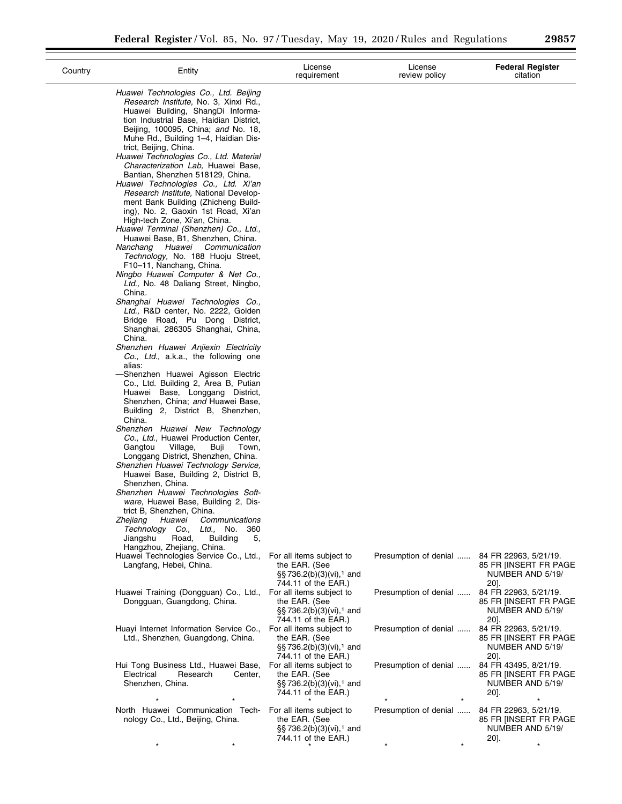| Country | Entity                                                                                                                                                                                                                                                                                                                                                                                                                                                                                                                                                                                                                                                                                                                                                                                                                                                                                                                                                                                                                                                                                                                                                                                                                                                                                                                                                                                                                                                                                                                                                                                                                                                                                                                                                                                 | License<br>requirement                                                                                                         | License<br>review policy                     | <b>Federal Register</b><br>citation                                                   |
|---------|----------------------------------------------------------------------------------------------------------------------------------------------------------------------------------------------------------------------------------------------------------------------------------------------------------------------------------------------------------------------------------------------------------------------------------------------------------------------------------------------------------------------------------------------------------------------------------------------------------------------------------------------------------------------------------------------------------------------------------------------------------------------------------------------------------------------------------------------------------------------------------------------------------------------------------------------------------------------------------------------------------------------------------------------------------------------------------------------------------------------------------------------------------------------------------------------------------------------------------------------------------------------------------------------------------------------------------------------------------------------------------------------------------------------------------------------------------------------------------------------------------------------------------------------------------------------------------------------------------------------------------------------------------------------------------------------------------------------------------------------------------------------------------------|--------------------------------------------------------------------------------------------------------------------------------|----------------------------------------------|---------------------------------------------------------------------------------------|
|         | Huawei Technologies Co., Ltd. Beijing<br>Research Institute, No. 3, Xinxi Rd.,<br>Huawei Building, ShangDi Informa-<br>tion Industrial Base, Haidian District,<br>Beijing, 100095, China; and No. 18,<br>Muhe Rd., Building 1–4, Haidian Dis-<br>trict, Beijing, China.<br>Huawei Technologies Co., Ltd. Material<br>Characterization Lab. Huawei Base,<br>Bantian, Shenzhen 518129, China.<br>Huawei Technologies Co., Ltd. Xi'an<br>Research Institute, National Develop-<br>ment Bank Building (Zhicheng Build-<br>ing), No. 2, Gaoxin 1st Road, Xi'an<br>High-tech Zone, Xi'an, China.<br>Huawei Terminal (Shenzhen) Co., Ltd.,<br>Huawei Base, B1, Shenzhen, China.<br>Nanchang Huawei Communication<br>Technology, No. 188 Huoju Street,<br>F10-11, Nanchang, China.<br>Ningbo Huawei Computer & Net Co.,<br>Ltd., No. 48 Daliang Street, Ningbo,<br>China.<br>Shanghai Huawei Technologies Co.,<br>Ltd., R&D center, No. 2222, Golden<br>Bridge Road, Pu Dong District,<br>Shanghai, 286305 Shanghai, China,<br>China.<br>Shenzhen Huawei Anjiexin Electricity<br>Co., Ltd., a.k.a., the following one<br>alias:<br>-Shenzhen Huawei Agisson Electric<br>Co., Ltd. Building 2, Area B, Putian<br>Huawei Base, Longgang District,<br>Shenzhen, China; and Huawei Base,<br>Building 2, District B, Shenzhen,<br>China.<br>Shenzhen Huawei New Technology<br>Co., Ltd., Huawei Production Center,<br>Village,<br>Buji<br>Gangtou<br>Town,<br>Longgang District, Shenzhen, China.<br>Shenzhen Huawei Technology Service,<br>Huawei Base, Building 2, District B,<br>Shenzhen, China.<br>Shenzhen Huawei Technologies Soft-<br>ware, Huawei Base, Building 2, Dis-<br>trict B, Shenzhen, China.<br>Communications<br>Zhejiang<br>Huawei<br>Technology<br>Ltd.,<br>No.<br>360<br>Co., |                                                                                                                                |                                              |                                                                                       |
|         | Jiangshu<br>Road,<br><b>Building</b><br>5,<br>Hangzhou, Zhejiang, China.<br>Huawei Technologies Service Co., Ltd.,<br>Langfang, Hebei, China.                                                                                                                                                                                                                                                                                                                                                                                                                                                                                                                                                                                                                                                                                                                                                                                                                                                                                                                                                                                                                                                                                                                                                                                                                                                                                                                                                                                                                                                                                                                                                                                                                                          | For all items subject to<br>the EAR. (See<br>§§ 736.2(b)(3)(vi), <sup>1</sup> and                                              | Presumption of denial  84 FR 22963, 5/21/19. | 85 FR IINSERT FR PAGE<br>NUMBER AND 5/19/                                             |
|         | Huawei Training (Dongguan) Co., Ltd.,<br>Dongguan, Guangdong, China.                                                                                                                                                                                                                                                                                                                                                                                                                                                                                                                                                                                                                                                                                                                                                                                                                                                                                                                                                                                                                                                                                                                                                                                                                                                                                                                                                                                                                                                                                                                                                                                                                                                                                                                   | 744.11 of the EAR.)<br>For all items subject to<br>the EAR. (See<br>§§736.2(b)(3)(vi), <sup>1</sup> and<br>744.11 of the EAR.) | Presumption of denial                        | $20$ ].<br>84 FR 22963, 5/21/19.<br>85 FR [INSERT FR PAGE<br>NUMBER AND 5/19/<br>20]. |
|         | Huayi Internet Information Service Co.,<br>Ltd., Shenzhen, Guangdong, China.                                                                                                                                                                                                                                                                                                                                                                                                                                                                                                                                                                                                                                                                                                                                                                                                                                                                                                                                                                                                                                                                                                                                                                                                                                                                                                                                                                                                                                                                                                                                                                                                                                                                                                           | For all items subject to<br>the EAR. (See<br>$\S$ §736.2(b)(3)(vi), <sup>1</sup> and<br>744.11 of the EAR.)                    | Presumption of denial                        | 84 FR 22963, 5/21/19.<br>85 FR [INSERT FR PAGE<br>NUMBER AND 5/19/<br>20].            |
|         | Hui Tong Business Ltd., Huawei Base,<br>Electrical<br>Research<br>Center,<br>Shenzhen, China.                                                                                                                                                                                                                                                                                                                                                                                                                                                                                                                                                                                                                                                                                                                                                                                                                                                                                                                                                                                                                                                                                                                                                                                                                                                                                                                                                                                                                                                                                                                                                                                                                                                                                          | For all items subject to<br>the EAR. (See<br>§§736.2(b)(3)(vi), <sup>1</sup> and<br>744.11 of the EAR.)                        | Presumption of denial                        | 84 FR 43495, 8/21/19.<br>85 FR [INSERT FR PAGE<br>NUMBER AND 5/19/<br>20].            |
|         | North Huawei Communication Tech- For all items subject to<br>nology Co., Ltd., Beijing, China.                                                                                                                                                                                                                                                                                                                                                                                                                                                                                                                                                                                                                                                                                                                                                                                                                                                                                                                                                                                                                                                                                                                                                                                                                                                                                                                                                                                                                                                                                                                                                                                                                                                                                         | the EAR. (See<br>§§ 736.2(b)(3)(vi), <sup>1</sup> and<br>744.11 of the EAR.)                                                   | Presumption of denial                        | 84 FR 22963, 5/21/19.<br>85 FR IINSERT FR PAGE<br>NUMBER AND 5/19/<br>$20$ ].         |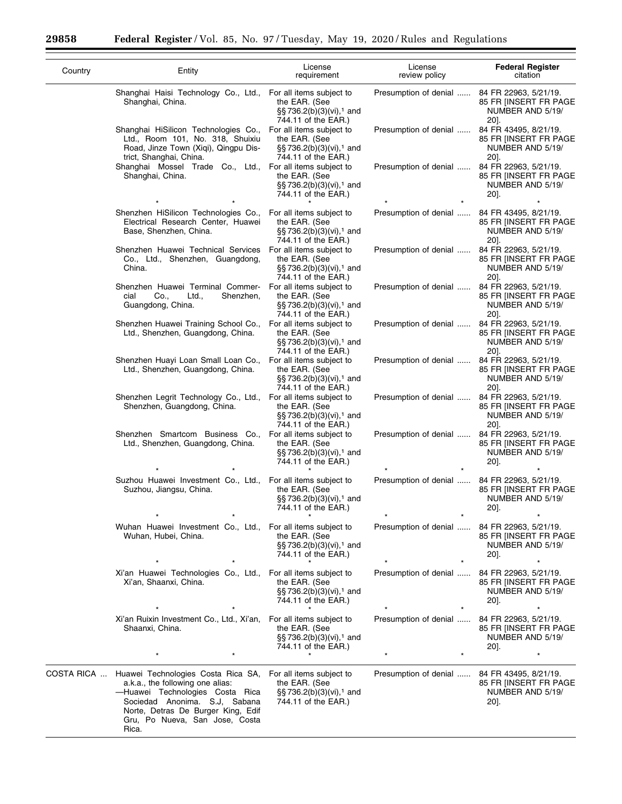$\equiv$ 

۰

| Country    | Entity                                                                                                                                                                                                                      | License<br>requirement                                                                                      | License<br>review policy                     | <b>Federal Register</b><br>citation                                        |
|------------|-----------------------------------------------------------------------------------------------------------------------------------------------------------------------------------------------------------------------------|-------------------------------------------------------------------------------------------------------------|----------------------------------------------|----------------------------------------------------------------------------|
|            | Shanghai Haisi Technology Co., Ltd., For all items subject to<br>Shanghai, China.                                                                                                                                           | the EAR. (See<br>§§ 736.2(b)(3)(vi), <sup>1</sup> and<br>744.11 of the EAR.)                                | Presumption of denial                        | 84 FR 22963, 5/21/19.<br>85 FR IINSERT FR PAGE<br>NUMBER AND 5/19/<br>20]. |
|            | Shanghai HiSilicon Technologies Co.,<br>Ltd., Room 101, No. 318, Shuixiu<br>Road, Jinze Town (Xiqi), Qingpu Dis-<br>trict, Shanghai, China.                                                                                 | For all items subject to<br>the EAR. (See<br>§§736.2(b)(3)(vi), <sup>1</sup> and<br>744.11 of the EAR.)     | Presumption of denial                        | 84 FR 43495, 8/21/19.<br>85 FR IINSERT FR PAGE<br>NUMBER AND 5/19/<br>20]. |
|            | Shanghai Mossel Trade Co., Ltd.,<br>Shanghai, China.                                                                                                                                                                        | For all items subject to<br>the EAR. (See<br>§§736.2(b)(3)(vi), <sup>1</sup> and<br>744.11 of the EAR.)     | Presumption of denial                        | 84 FR 22963, 5/21/19.<br>85 FR IINSERT FR PAGE<br>NUMBER AND 5/19/<br>20]. |
|            | Shenzhen HiSilicon Technologies Co.,<br>Electrical Research Center, Huawei<br>Base, Shenzhen, China.                                                                                                                        | For all items subject to<br>the EAR. (See<br>§§736.2(b)(3)(vi), <sup>1</sup> and<br>744.11 of the EAR.)     | Presumption of denial                        | 84 FR 43495, 8/21/19.<br>85 FR IINSERT FR PAGE<br>NUMBER AND 5/19/<br>20]. |
|            | Shenzhen Huawei Technical Services<br>Co., Ltd., Shenzhen, Guangdong,<br>China.                                                                                                                                             | For all items subject to<br>the EAR. (See<br>§§736.2(b)(3)(vi), <sup>1</sup> and<br>744.11 of the EAR.)     | Presumption of denial                        | 84 FR 22963, 5/21/19.<br>85 FR [INSERT FR PAGE<br>NUMBER AND 5/19/<br>20]. |
|            | Shenzhen Huawei Terminal Commer-<br>cial<br>Co.,<br>Ltd.,<br>Shenzhen,<br>Guangdong, China.                                                                                                                                 | For all items subject to<br>the EAR. (See<br>§§736.2(b)(3)(vi), <sup>1</sup> and<br>744.11 of the EAR.)     | Presumption of denial                        | 84 FR 22963, 5/21/19.<br>85 FR [INSERT FR PAGE<br>NUMBER AND 5/19/<br>20]. |
|            | Shenzhen Huawei Training School Co.,<br>Ltd., Shenzhen, Guangdong, China.                                                                                                                                                   | For all items subject to<br>the EAR. (See<br>§§736.2(b)(3)(vi), <sup>1</sup> and<br>744.11 of the EAR.)     | Presumption of denial                        | 84 FR 22963, 5/21/19.<br>85 FR [INSERT FR PAGE<br>NUMBER AND 5/19/<br>20]. |
|            | Shenzhen Huayi Loan Small Loan Co.,<br>Ltd., Shenzhen, Guangdong, China.                                                                                                                                                    | For all items subject to<br>the EAR. (See<br>§§736.2(b)(3)(vi), <sup>1</sup> and<br>744.11 of the EAR.)     | Presumption of denial                        | 84 FR 22963, 5/21/19.<br>85 FR [INSERT FR PAGE<br>NUMBER AND 5/19/<br>20]. |
|            | Shenzhen Legrit Technology Co., Ltd.,<br>Shenzhen, Guangdong, China.                                                                                                                                                        | For all items subject to<br>the EAR. (See<br>§§736.2(b)(3)(vi), <sup>1</sup> and<br>744.11 of the EAR.)     | Presumption of denial                        | 84 FR 22963, 5/21/19.<br>85 FR IINSERT FR PAGE<br>NUMBER AND 5/19/<br>20]. |
|            | Shenzhen Smartcom Business Co.,<br>Ltd., Shenzhen, Guangdong, China.                                                                                                                                                        | For all items subject to<br>the EAR. (See<br>§§736.2(b)(3)(vi), <sup>1</sup> and<br>744.11 of the EAR.)     | Presumption of denial                        | 84 FR 22963, 5/21/19.<br>85 FR [INSERT FR PAGE<br>NUMBER AND 5/19/<br>20]. |
|            | Suzhou Huawei Investment Co., Ltd.,<br>Suzhou, Jiangsu, China.                                                                                                                                                              | For all items subject to<br>the EAR. (See<br>§§736.2(b)(3)(vi), <sup>1</sup> and<br>744.11 of the EAR.)     | Presumption of denial                        | 84 FR 22963, 5/21/19.<br>85 FR [INSERT FR PAGE<br>NUMBER AND 5/19/<br>20]. |
|            | Wuhan Huawei Investment Co., Ltd., For all items subject to<br>Wuhan, Hubei, China.                                                                                                                                         | the EAR. (See<br>$\S$ §736.2(b)(3)(vi), <sup>1</sup> and<br>744.11 of the EAR.)                             | Presumption of denial  84 FR 22963, 5/21/19. | 85 FR [INSERT FR PAGE<br>NUMBER AND 5/19/<br>20].                          |
|            |                                                                                                                                                                                                                             |                                                                                                             |                                              |                                                                            |
|            | Xi'an Huawei Technologies Co., Ltd., For all items subject to<br>Xi'an, Shaanxi, China.                                                                                                                                     | the EAR. (See<br>$\S$ §736.2(b)(3)(vi), <sup>1</sup> and<br>744.11 of the EAR.)                             | Presumption of denial                        | 84 FR 22963, 5/21/19.<br>85 FR [INSERT FR PAGE<br>NUMBER AND 5/19/<br>20]. |
|            | Xi'an Ruixin Investment Co., Ltd., Xi'an,<br>Shaanxi, China.                                                                                                                                                                | For all items subject to<br>the EAR. (See<br>$\S$ §736.2(b)(3)(vi), <sup>1</sup> and<br>744.11 of the EAR.) | Presumption of denial                        | 84 FR 22963, 5/21/19.<br>85 FR [INSERT FR PAGE<br>NUMBER AND 5/19/<br>20]. |
| COSTA RICA | Huawei Technologies Costa Rica SA,<br>a.k.a., the following one alias:<br>-Huawei Technologies Costa Rica<br>Sociedad Anonima. S.J, Sabana<br>Norte, Detras De Burger King, Edif<br>Gru, Po Nueva, San Jose, Costa<br>Rica. | For all items subject to<br>the EAR. (See<br>§§736.2(b)(3)(vi), <sup>1</sup> and<br>744.11 of the EAR.)     | Presumption of denial  84 FR 43495, 8/21/19. | 85 FR [INSERT FR PAGE<br>NUMBER AND 5/19/<br>20].                          |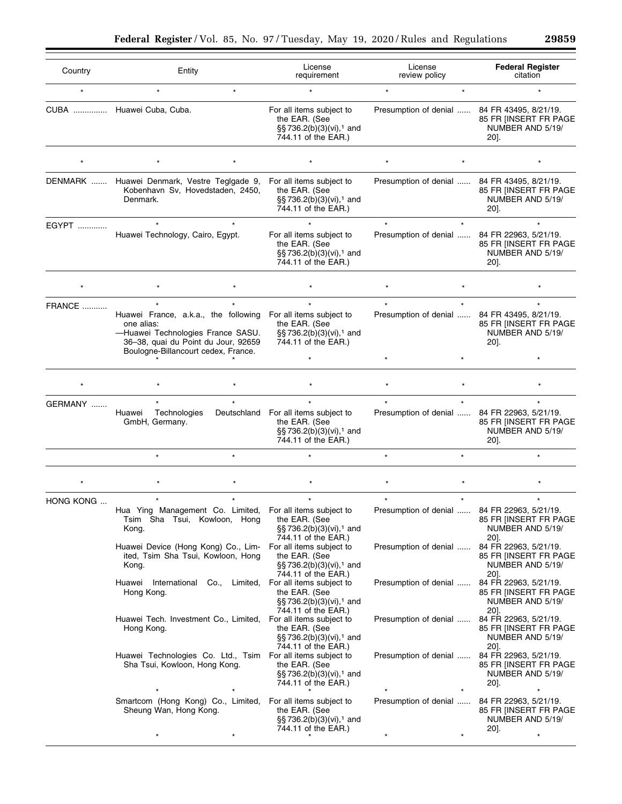| Country   | Entity                                                                                                                                                                | License<br>requirement                                                                                               | License<br>review policy                     | <b>Federal Register</b><br>citation                                           |
|-----------|-----------------------------------------------------------------------------------------------------------------------------------------------------------------------|----------------------------------------------------------------------------------------------------------------------|----------------------------------------------|-------------------------------------------------------------------------------|
| $\star$   | $\star$<br>$\star$                                                                                                                                                    |                                                                                                                      | $\star$                                      |                                                                               |
|           | CUBA  Huawei Cuba, Cuba.                                                                                                                                              | For all items subject to<br>the EAR. (See<br>§§736.2(b)(3)(vi), <sup>1</sup> and<br>744.11 of the EAR.)              | Presumption of denial  84 FR 43495, 8/21/19. | 85 FR [INSERT FR PAGE<br>NUMBER AND 5/19/<br>20].                             |
|           |                                                                                                                                                                       |                                                                                                                      |                                              |                                                                               |
|           | DENMARK  Huawei Denmark, Vestre Teglgade 9,<br>Kobenhavn Sv, Hovedstaden, 2450,<br>Denmark.                                                                           | For all items subject to<br>the EAR. (See<br>§§736.2(b)(3)(vi), <sup>1</sup> and<br>744.11 of the EAR.)              | Presumption of denial  84 FR 43495, 8/21/19. | 85 FR [INSERT FR PAGE<br>NUMBER AND 5/19/<br>20].                             |
| EGYPT     | Huawei Technology, Cairo, Egypt.                                                                                                                                      | For all items subject to<br>the EAR. (See<br>§§736.2(b)(3)(vi), <sup>1</sup> and<br>744.11 of the EAR.)              | Presumption of denial                        | 84 FR 22963, 5/21/19.<br>85 FR [INSERT FR PAGE<br>NUMBER AND 5/19/<br>20].    |
|           |                                                                                                                                                                       |                                                                                                                      |                                              |                                                                               |
| FRANCE    |                                                                                                                                                                       | $\star$                                                                                                              | $\star$                                      |                                                                               |
|           | Huawei France, a.k.a., the following<br>one alias:<br>-Huawei Technologies France SASU.<br>36-38, quai du Point du Jour, 92659<br>Boulogne-Billancourt cedex, France. | For all items subject to<br>the EAR. (See<br>§§736.2(b)(3)(vi), <sup>1</sup> and<br>744.11 of the EAR.)              | Presumption of denial                        | 84 FR 43495, 8/21/19.<br>85 FR [INSERT FR PAGE<br>NUMBER AND 5/19/<br>20].    |
|           |                                                                                                                                                                       |                                                                                                                      |                                              |                                                                               |
|           |                                                                                                                                                                       |                                                                                                                      |                                              |                                                                               |
| GERMANY   |                                                                                                                                                                       | $\star$                                                                                                              |                                              |                                                                               |
|           | Huawei<br>Technologies<br>GmbH, Germany.                                                                                                                              | Deutschland For all items subject to<br>the EAR. (See<br>§§ 736.2(b)(3)(vi), <sup>1</sup> and<br>744.11 of the EAR.) | Presumption of denial                        | 84 FR 22963, 5/21/19.<br>85 FR [INSERT FR PAGE<br>NUMBER AND 5/19/<br>20].    |
|           | $\star$                                                                                                                                                               |                                                                                                                      | $\star$                                      | $\star$                                                                       |
|           |                                                                                                                                                                       |                                                                                                                      |                                              |                                                                               |
| HONG KONG |                                                                                                                                                                       |                                                                                                                      |                                              |                                                                               |
|           | Hua Ying Management Co. Limited,<br>Tsim Sha Tsui, Kowloon, Hong<br>Kong.                                                                                             | For all items subject to<br>the EAR. (See<br>§§736.2(b)(3)(vi), <sup>1</sup> and<br>744.11 of the EAR.)              | Presumption of denial                        | 84 FR 22963,<br>5/21/19<br>85 FR [INSERT FR PAGE<br>NUMBER AND 5/19/<br>20].  |
|           | Huawei Device (Hong Kong) Co., Lim-<br>ited, Tsim Sha Tsui, Kowloon, Hong<br>Kong.                                                                                    | For all items subject to<br>the EAR. (See<br>§§736.2(b)(3)(vi), <sup>1</sup> and<br>744.11 of the EAR.)              | Presumption of denial                        | 84 FR 22963, 5/21/19.<br>85 FR [INSERT FR PAGE<br>NUMBER AND 5/19/<br>20].    |
|           | Huawei International Co., Limited,<br>Hong Kong.                                                                                                                      | For all items subject to<br>the EAR. (See<br>§§736.2(b)(3)(vi), <sup>1</sup> and<br>744.11 of the EAR.)              | Presumption of denial                        | 84 FR 22963, 5/21/19.<br>85 FR [INSERT FR PAGE<br>NUMBER AND 5/19/<br>201.    |
|           | Huawei Tech. Investment Co., Limited,<br>Hong Kong.                                                                                                                   | For all items subject to<br>the EAR. (See<br>§§736.2(b)(3)(vi), <sup>1</sup> and<br>744.11 of the EAR.)              | Presumption of denial                        | 84 FR 22963, 5/21/19.<br>85 FR [INSERT FR PAGE<br>NUMBER AND 5/19/<br>20].    |
|           | Huawei Technologies Co. Ltd., Tsim<br>Sha Tsui, Kowloon, Hong Kong.                                                                                                   | For all items subject to<br>the EAR. (See<br>§§736.2(b)(3)(vi), <sup>1</sup> and<br>744.11 of the EAR.)              | Presumption of denial                        | 84 FR 22963, 5/21/19.<br>85 FR [INSERT FR PAGE<br>NUMBER AND 5/19/<br>$20$ ]. |
|           | Smartcom (Hong Kong) Co., Limited,<br>Sheung Wan, Hong Kong.                                                                                                          | For all items subject to<br>the EAR. (See<br>§§ 736.2(b)(3)(vi), <sup>1</sup> and                                    | Presumption of denial                        | 84 FR 22963, 5/21/19.<br>85 FR [INSERT FR PAGE<br>NUMBER AND 5/19/            |
|           |                                                                                                                                                                       | 744.11 of the EAR.)                                                                                                  | $\star$                                      | 20].<br>$\star$                                                               |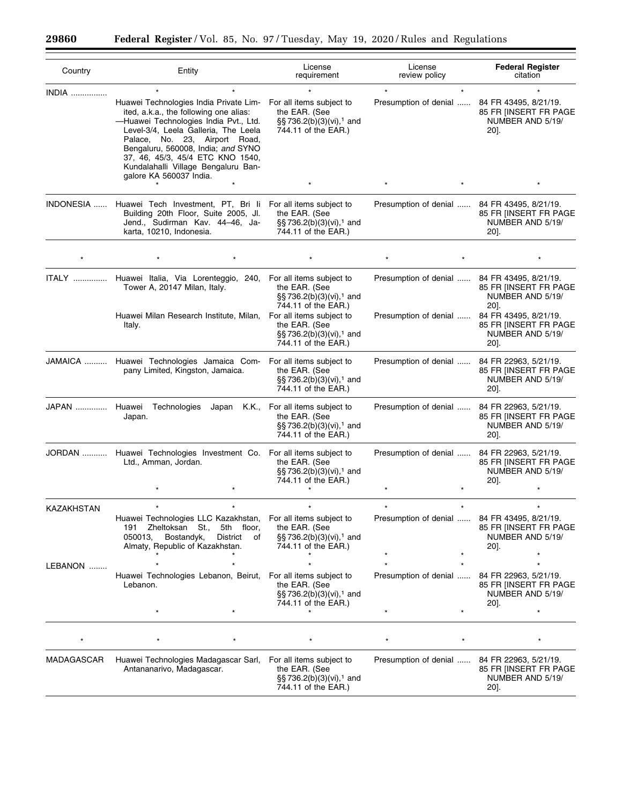$\equiv$ 

▀

| Country       | Entity                                                                                                                                                                                                                                                                                                                                       | License<br>requirement                                                                                        | License<br>review policy | <b>Federal Register</b><br>citation                                           |
|---------------|----------------------------------------------------------------------------------------------------------------------------------------------------------------------------------------------------------------------------------------------------------------------------------------------------------------------------------------------|---------------------------------------------------------------------------------------------------------------|--------------------------|-------------------------------------------------------------------------------|
| INDIA         | Huawei Technologies India Private Lim- For all items subject to<br>ited, a.k.a., the following one alias:<br>-Huawei Technologies India Pvt., Ltd.<br>Level-3/4, Leela Galleria, The Leela<br>Palace, No. 23, Airport Road,<br>Bengaluru, 560008, India; and SYNO<br>37, 46, 45/3, 45/4 ETC KNO 1540,<br>Kundalahalli Village Bengaluru Ban- | the EAR. (See<br>§§736.2(b)(3)(vi), <sup>1</sup> and<br>744.11 of the EAR.)                                   | Presumption of denial    | 84 FR 43495, 8/21/19.<br>85 FR IINSERT FR PAGE<br>NUMBER AND 5/19/<br>$20$ ]. |
|               | galore KA 560037 India.                                                                                                                                                                                                                                                                                                                      |                                                                                                               |                          |                                                                               |
| INDONESIA     | Huawei Tech Investment, PT, Bri li<br>Building 20th Floor, Suite 2005, Jl.<br>Jend., Sudirman Kav. 44-46, Ja-<br>karta, 10210, Indonesia.                                                                                                                                                                                                    | For all items subject to<br>the EAR. (See<br>$\S$ §736.2(b)(3)(vi), <sup>1</sup> and<br>744.11 of the EAR.)   | Presumption of denial    | 84 FR 43495, 8/21/19.<br>85 FR IINSERT FR PAGE<br>NUMBER AND 5/19/<br>20].    |
|               |                                                                                                                                                                                                                                                                                                                                              |                                                                                                               |                          |                                                                               |
| <b>ITALY</b>  | Huawei Italia, Via Lorenteggio, 240, For all items subject to<br>Tower A, 20147 Milan, Italy.                                                                                                                                                                                                                                                | the EAR. (See<br>§§736.2(b)(3)(vi), <sup>1</sup> and<br>744.11 of the EAR.)                                   | Presumption of denial    | 84 FR 43495, 8/21/19.<br>85 FR IINSERT FR PAGE<br>NUMBER AND 5/19/<br>20].    |
|               | Huawei Milan Research Institute, Milan,<br>Italy.                                                                                                                                                                                                                                                                                            | For all items subject to<br>the EAR. (See<br>§§736.2(b)(3)(vi), <sup>1</sup> and<br>744.11 of the EAR.)       | Presumption of denial    | 84 FR 43495, 8/21/19.<br>85 FR [INSERT FR PAGE<br>NUMBER AND 5/19/<br>$20$ .  |
|               | JAMAICA  Huawei Technologies Jamaica Com- For all items subject to<br>pany Limited, Kingston, Jamaica.                                                                                                                                                                                                                                       | the EAR. (See<br>§§736.2(b)(3)(vi), <sup>1</sup> and<br>744.11 of the EAR.)                                   | Presumption of denial    | 84 FR 22963, 5/21/19.<br>85 FR [INSERT FR PAGE<br>NUMBER AND 5/19/<br>$20$ ]. |
| JAPAN  Huawei | Technologies<br>Japan<br>Japan.                                                                                                                                                                                                                                                                                                              | K.K., For all items subject to<br>the EAR. (See<br>§§736.2(b)(3)(vi), <sup>1</sup> and<br>744.11 of the EAR.) | Presumption of denial    | 84 FR 22963, 5/21/19.<br>85 FR [INSERT FR PAGE<br>NUMBER AND 5/19/<br>$20$ ]. |
|               | JORDAN  Huawei Technologies Investment Co. For all items subject to<br>Ltd., Amman, Jordan.                                                                                                                                                                                                                                                  | the EAR. (See<br>§§736.2(b)(3)(vi), <sup>1</sup> and<br>744.11 of the EAR.)                                   | Presumption of denial    | 84 FR 22963, 5/21/19.<br>85 FR IINSERT FR PAGE<br>NUMBER AND 5/19/<br>$20$ ]. |
| KAZAKHSTAN    | $\star$                                                                                                                                                                                                                                                                                                                                      |                                                                                                               | $\star$<br>$\star$       | $\star$                                                                       |
|               | Huawei Technologies LLC Kazakhstan,<br>Zheltoksan St.,<br>5th floor,<br>191<br>050013,<br>Bostandyk,<br>District<br>of<br>Almaty, Republic of Kazakhstan.                                                                                                                                                                                    | For all items subject to<br>the EAR. (See<br>§§736.2(b)(3)(vi), <sup>1</sup> and<br>744.11 of the EAR.)       | Presumption of denial    | 84 FR 43495, 8/21/19.<br>85 FR IINSERT FR PAGE<br>NUMBER AND 5/19/<br>20].    |
| LEBANON       |                                                                                                                                                                                                                                                                                                                                              |                                                                                                               |                          |                                                                               |
|               | Huawei Technologies Lebanon, Beirut,<br>Lebanon.                                                                                                                                                                                                                                                                                             | For all items subject to<br>the EAR. (See<br>§§736.2(b)(3)(vi), <sup>1</sup> and<br>744.11 of the EAR.)       | Presumption of denial    | 84 FR 22963, 5/21/19.<br>85 FR [INSERT FR PAGE<br>NUMBER AND 5/19/<br>20].    |
|               |                                                                                                                                                                                                                                                                                                                                              |                                                                                                               |                          |                                                                               |
|               |                                                                                                                                                                                                                                                                                                                                              |                                                                                                               |                          |                                                                               |
| MADAGASCAR    | Huawei Technologies Madagascar Sarl, For all items subject to<br>Antananarivo, Madagascar.                                                                                                                                                                                                                                                   | the EAR. (See<br>§§736.2(b)(3)(vi), <sup>1</sup> and<br>744.11 of the EAR.)                                   | Presumption of denial    | 84 FR 22963, 5/21/19.<br>85 FR IINSERT FR PAGE<br>NUMBER AND 5/19/<br>20].    |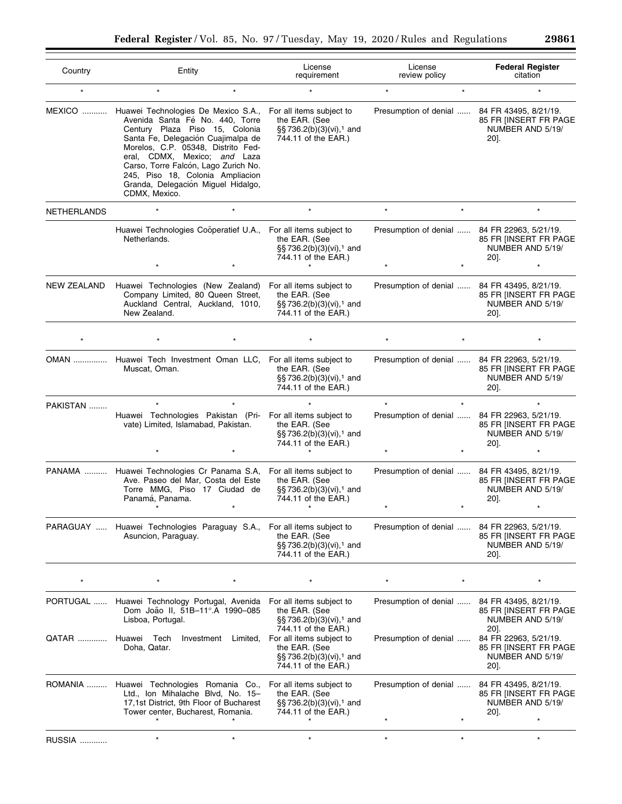| 29861 |  |
|-------|--|
|-------|--|

۰

| Country            | Entity                                                                                                                                                                                                                                                                                                                                                  | License<br>requirement                                                                                   | License<br>review policy                     | <b>Federal Register</b><br>citation                                        |
|--------------------|---------------------------------------------------------------------------------------------------------------------------------------------------------------------------------------------------------------------------------------------------------------------------------------------------------------------------------------------------------|----------------------------------------------------------------------------------------------------------|----------------------------------------------|----------------------------------------------------------------------------|
| $\star$            | $^\star$                                                                                                                                                                                                                                                                                                                                                |                                                                                                          | $\star$                                      |                                                                            |
| <b>MEXICO</b>      | Huawei Technologies De Mexico S.A.,<br>Avenida Santa Fé No. 440, Torre<br>Century Plaza Piso 15, Colonia<br>Santa Fe, Delegación Cuajimalpa de<br>Morelos, C.P. 05348, Distrito Fed-<br>eral, CDMX, Mexico; and Laza<br>Carso, Torre Falcón, Lago Zurich No.<br>245, Piso 18, Colonia Ampliacion<br>Granda, Delegación Miguel Hidalgo,<br>CDMX, Mexico. | For all items subject to<br>the EAR. (See<br>§§736.2(b)(3)(vi), <sup>1</sup> and<br>744.11 of the EAR.)  | Presumption of denial  84 FR 43495, 8/21/19. | 85 FR [INSERT FR PAGE<br>NUMBER AND 5/19/<br>20].                          |
| NETHERLANDS        |                                                                                                                                                                                                                                                                                                                                                         |                                                                                                          | $\star$                                      |                                                                            |
|                    | Huawei Technologies Coöperatief U.A.,<br>Netherlands.                                                                                                                                                                                                                                                                                                   | For all items subject to<br>the EAR. (See<br>§§ 736.2(b)(3)(vi), <sup>1</sup> and<br>744.11 of the EAR.) | Presumption of denial                        | 84 FR 22963, 5/21/19.<br>85 FR [INSERT FR PAGE<br>NUMBER AND 5/19/<br>20]. |
|                    |                                                                                                                                                                                                                                                                                                                                                         |                                                                                                          |                                              |                                                                            |
| <b>NEW ZEALAND</b> | Huawei Technologies (New Zealand) For all items subject to<br>Company Limited, 80 Queen Street,<br>Auckland Central, Auckland, 1010,<br>New Zealand.                                                                                                                                                                                                    | the EAR. (See<br>§§736.2(b)(3)(vi), <sup>1</sup> and<br>744.11 of the EAR.)                              | Presumption of denial                        | 84 FR 43495, 8/21/19.<br>85 FR [INSERT FR PAGE<br>NUMBER AND 5/19/<br>20]. |
|                    |                                                                                                                                                                                                                                                                                                                                                         |                                                                                                          |                                              |                                                                            |
|                    | OMAN  Huawei Tech Investment Oman LLC, For all items subject to<br>Muscat, Oman.                                                                                                                                                                                                                                                                        | the EAR. (See<br>§§736.2(b)(3)(vi), <sup>1</sup> and<br>744.11 of the EAR.)                              | Presumption of denial                        | 84 FR 22963, 5/21/19.<br>85 FR [INSERT FR PAGE<br>NUMBER AND 5/19/<br>20]. |
| PAKISTAN           |                                                                                                                                                                                                                                                                                                                                                         |                                                                                                          |                                              |                                                                            |
|                    | Huawei Technologies Pakistan (Pri- For all items subject to<br>vate) Limited, Islamabad, Pakistan.                                                                                                                                                                                                                                                      | the EAR. (See<br>§§736.2(b)(3)(vi), <sup>1</sup> and<br>744.11 of the EAR.)                              | Presumption of denial                        | 84 FR 22963, 5/21/19.<br>85 FR [INSERT FR PAGE<br>NUMBER AND 5/19/<br>20]. |
|                    |                                                                                                                                                                                                                                                                                                                                                         |                                                                                                          |                                              |                                                                            |
|                    | PANAMA  Huawei Technologies Cr Panama S.A,<br>Ave. Paseo del Mar, Costa del Este<br>Torre MMG, Piso 17 Ciudad de<br>Panamá, Panama.                                                                                                                                                                                                                     | For all items subject to<br>the EAR. (See<br>§§736.2(b)(3)(vi), <sup>1</sup> and<br>744.11 of the EAR.)  | Presumption of denial  84 FR 43495, 8/21/19. | 85 FR [INSERT FR PAGE<br>NUMBER AND 5/19/<br>20].                          |
| PARAGUAY           | Huawei Technologies Paraguay S.A.,<br>Asuncion, Paraguay.                                                                                                                                                                                                                                                                                               | For all items subject to<br>the EAR. (See<br>§§736.2(b)(3)(vi), <sup>1</sup> and<br>744.11 of the EAR.)  | Presumption of denial                        | 84 FR 22963, 5/21/19.<br>85 FR IINSERT FR PAGE<br>NUMBER AND 5/19/<br>20]. |
|                    |                                                                                                                                                                                                                                                                                                                                                         |                                                                                                          |                                              |                                                                            |
| PORTUGAL           | Huawei Technology Portugal, Avenida<br>Dom João II, 51B-11°.A 1990-085<br>Lisboa, Portugal.                                                                                                                                                                                                                                                             | For all items subject to<br>the EAR. (See<br>§§736.2(b)(3)(vi), <sup>1</sup> and<br>744.11 of the EAR.)  | Presumption of denial                        | 84 FR 43495, 8/21/19.<br>85 FR IINSERT FR PAGE<br>NUMBER AND 5/19/<br>20]. |
| QATAR              | Huawei<br>Tech<br>Investment<br>Limited,<br>Doha, Qatar.                                                                                                                                                                                                                                                                                                | For all items subject to<br>the EAR. (See<br>§§736.2(b)(3)(vi), <sup>1</sup> and<br>744.11 of the EAR.)  | Presumption of denial                        | 84 FR 22963, 5/21/19.<br>85 FR IINSERT FR PAGE<br>NUMBER AND 5/19/<br>20]. |
| ROMANIA            | Huawei Technologies Romania Co.,<br>Ltd., Ion Mihalache Blvd, No. 15-<br>17,1st District, 9th Floor of Bucharest<br>Tower center, Bucharest, Romania.                                                                                                                                                                                                   | For all items subject to<br>the EAR. (See<br>§§736.2(b)(3)(vi), <sup>1</sup> and<br>744.11 of the EAR.)  | Presumption of denial                        | 84 FR 43495, 8/21/19.<br>85 FR IINSERT FR PAGE<br>NUMBER AND 5/19/<br>20]. |
| RUSSIA             |                                                                                                                                                                                                                                                                                                                                                         |                                                                                                          | $\star$<br>$\star$                           |                                                                            |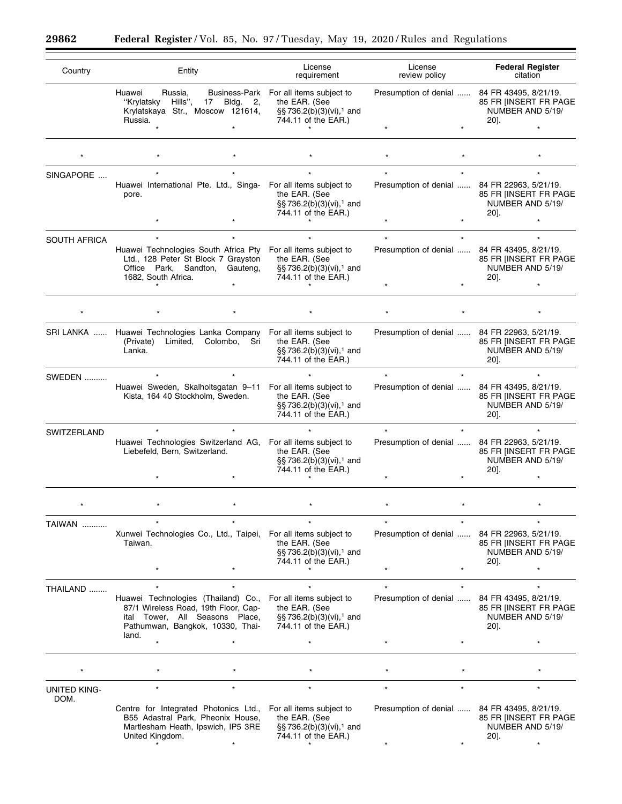$\equiv$ 

▀

| Country             | Entity                                                                                                                                                        | License<br>requirement                                                                                                 | License<br>review policy                     | <b>Federal Register</b><br>citation                                           |
|---------------------|---------------------------------------------------------------------------------------------------------------------------------------------------------------|------------------------------------------------------------------------------------------------------------------------|----------------------------------------------|-------------------------------------------------------------------------------|
|                     | Huawei<br>Russia,<br>"Krylatsky<br>Hills",<br>17<br>Bldg. 2,<br>Krylatskaya Str., Moscow 121614,<br>Russia.                                                   | Business-Park For all items subject to<br>the EAR. (See<br>§§ 736.2(b)(3)(vi), <sup>1</sup> and<br>744.11 of the EAR.) | Presumption of denial                        | 84 FR 43495, 8/21/19.<br>85 FR [INSERT FR PAGE<br>NUMBER AND 5/19/<br>20].    |
|                     |                                                                                                                                                               |                                                                                                                        |                                              |                                                                               |
|                     |                                                                                                                                                               |                                                                                                                        |                                              |                                                                               |
| SINGAPORE           |                                                                                                                                                               |                                                                                                                        |                                              |                                                                               |
|                     | Huawei International Pte. Ltd., Singa- For all items subject to<br>pore.                                                                                      | the EAR. (See<br>§§736.2(b)(3)(vi), <sup>1</sup> and<br>744.11 of the EAR.)                                            | Presumption of denial                        | 84 FR 22963, 5/21/19.<br>85 FR IINSERT FR PAGE<br>NUMBER AND 5/19/<br>20].    |
|                     |                                                                                                                                                               |                                                                                                                        |                                              |                                                                               |
| <b>SOUTH AFRICA</b> | Huawei Technologies South Africa Pty For all items subject to<br>Ltd., 128 Peter St Block 7 Grayston<br>Office Park, Sandton, Gauteng,<br>1682, South Africa. | the EAR. (See<br>§§736.2(b)(3)(vi), <sup>1</sup> and<br>744.11 of the EAR.)                                            | Presumption of denial                        | 84 FR 43495, 8/21/19.<br>85 FR [INSERT FR PAGE<br>NUMBER AND 5/19/<br>20].    |
|                     |                                                                                                                                                               |                                                                                                                        |                                              |                                                                               |
|                     |                                                                                                                                                               |                                                                                                                        |                                              |                                                                               |
|                     | SRI LANKA  Huawei Technologies Lanka Company<br>(Private)<br>Limited,<br>Colombo, Sri<br>Lanka.                                                               | For all items subject to<br>the EAR. (See<br>§§ 736.2(b)(3)(vi),1 and<br>744.11 of the EAR.)                           | Presumption of denial                        | 84 FR 22963, 5/21/19.<br>85 FR [INSERT FR PAGE<br>NUMBER AND 5/19/<br>20].    |
| <b>SWEDEN</b>       |                                                                                                                                                               |                                                                                                                        |                                              |                                                                               |
|                     | Huawei Sweden, Skalholtsgatan 9-11<br>Kista, 164 40 Stockholm, Sweden.                                                                                        | For all items subject to<br>the EAR. (See<br>§§736.2(b)(3)(vi), <sup>1</sup> and<br>744.11 of the EAR.)                | Presumption of denial                        | 84 FR 43495, 8/21/19.<br>85 FR [INSERT FR PAGE<br>NUMBER AND 5/19/<br>20].    |
| SWITZERLAND         | Huawei Technologies Switzerland AG,<br>Liebefeld, Bern, Switzerland.                                                                                          | For all items subject to<br>the EAR. (See<br>§§ 736.2(b)(3)(vi), <sup>1</sup> and<br>744.11 of the EAR.)               | Presumption of denial                        | 84 FR 22963, 5/21/19.<br>85 FR IINSERT FR PAGE<br>NUMBER AND 5/19/<br>20].    |
|                     |                                                                                                                                                               |                                                                                                                        |                                              |                                                                               |
|                     |                                                                                                                                                               |                                                                                                                        |                                              |                                                                               |
| TAIWAN              |                                                                                                                                                               |                                                                                                                        |                                              |                                                                               |
|                     | Xunwei Technologies Co., Ltd., Taipei,<br>Taiwan.                                                                                                             | For all items subject to<br>the EAR. (See<br>§§736.2(b)(3)(vi), <sup>1</sup> and<br>744.11 of the EAR.)                | Presumption of denial                        | 84 FR 22963, 5/21/19.<br>85 FR IINSERT FR PAGE<br>NUMBER AND 5/19/<br>20].    |
|                     |                                                                                                                                                               |                                                                                                                        |                                              |                                                                               |
| THAILAND            | Huawei Technologies (Thailand) Co.,<br>87/1 Wireless Road, 19th Floor, Cap-<br>ital Tower, All Seasons Place,<br>Pathumwan, Bangkok, 10330, Thai-<br>land.    | For all items subject to<br>the EAR. (See<br>§§736.2(b)(3)(vi), <sup>1</sup> and<br>744.11 of the EAR.)                | Presumption of denial                        | 84 FR 43495, 8/21/19.<br>85 FR [INSERT FR PAGE<br>NUMBER AND 5/19/<br>$20$ ]. |
|                     |                                                                                                                                                               |                                                                                                                        |                                              |                                                                               |
|                     |                                                                                                                                                               |                                                                                                                        |                                              |                                                                               |
| UNITED KING-        |                                                                                                                                                               |                                                                                                                        |                                              |                                                                               |
| DOM.                | Centre for Integrated Photonics Ltd.,<br>B55 Adastral Park, Pheonix House,<br>Martlesham Heath, Ipswich, IP5 3RE<br>United Kingdom.                           | For all items subject to<br>the EAR. (See<br>§§736.2(b)(3)(vi), <sup>1</sup> and<br>744.11 of the EAR.)                | Presumption of denial  84 FR 43495, 8/21/19. | 85 FR IINSERT FR PAGE<br>NUMBER AND 5/19/<br>$20$ ].                          |
|                     |                                                                                                                                                               |                                                                                                                        |                                              |                                                                               |